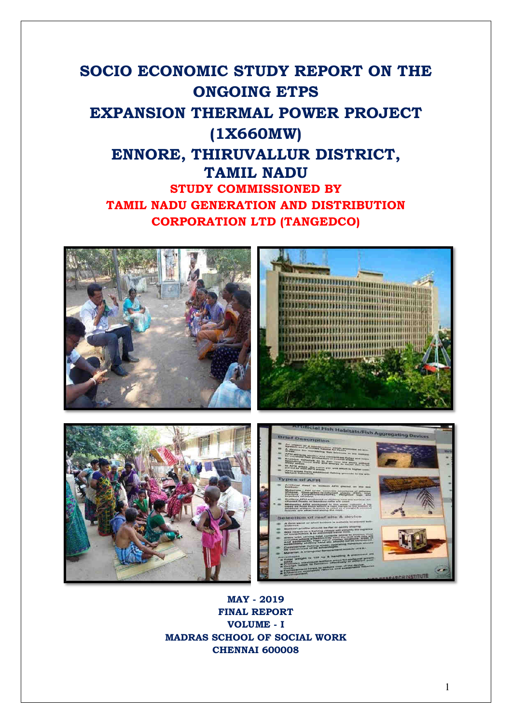# **SOCIO ECONOMIC STUDY REPORT ON THE ONGOING ETPS EXPANSION THERMAL POWER PROJECT (1X660MW) ENNORE, THIRUVALLUR DISTRICT, TAMIL NADU STUDY COMMISSIONED BY TAMIL NADU GENERATION AND DISTRIBUTION CORPORATION LTD (TANGEDCO)**



**MAY - 2019 FINAL REPORT VOLUME - I MADRAS SCHOOL OF SOCIAL WORK CHENNAI 600008**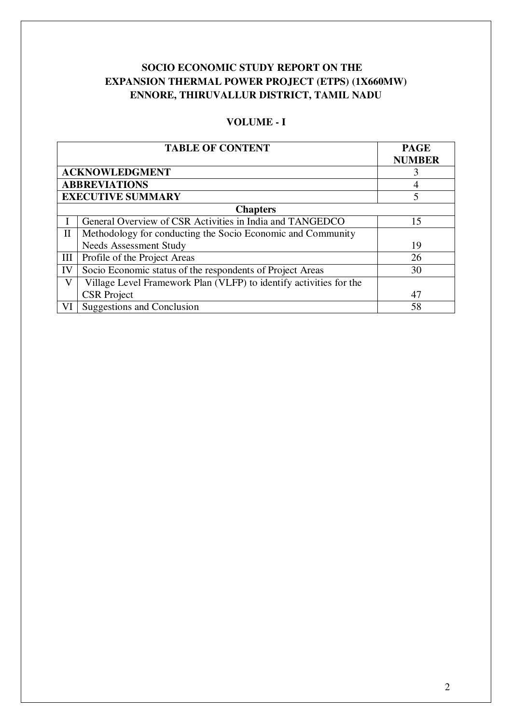# **SOCIO ECONOMIC STUDY REPORT ON THE EXPANSION THERMAL POWER PROJECT (ETPS) (1X660MW) ENNORE, THIRUVALLUR DISTRICT, TAMIL NADU**

# **VOLUME - I**

|              | <b>TABLE OF CONTENT</b>                                            | <b>PAGE</b><br><b>NUMBER</b> |
|--------------|--------------------------------------------------------------------|------------------------------|
|              | <b>ACKNOWLEDGMENT</b>                                              | 3                            |
|              | <b>ABBREVIATIONS</b>                                               | 4                            |
|              | <b>EXECUTIVE SUMMARY</b>                                           | 5                            |
|              | <b>Chapters</b>                                                    |                              |
|              | General Overview of CSR Activities in India and TANGEDCO           | 15                           |
| $\mathbf{I}$ | Methodology for conducting the Socio Economic and Community        |                              |
|              | <b>Needs Assessment Study</b>                                      | 19                           |
| III          | Profile of the Project Areas                                       | 26                           |
| IV           | Socio Economic status of the respondents of Project Areas          | 30                           |
| V            | Village Level Framework Plan (VLFP) to identify activities for the |                              |
|              | <b>CSR</b> Project                                                 | 47                           |
| VI           | Suggestions and Conclusion                                         | 58                           |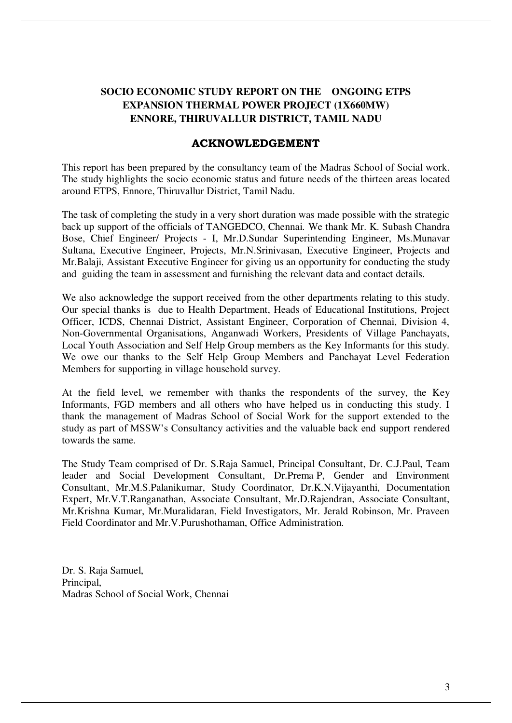# **SOCIO ECONOMIC STUDY REPORT ON THE ONGOING ETPS EXPANSION THERMAL POWER PROJECT (1X660MW) ENNORE, THIRUVALLUR DISTRICT, TAMIL NADU**

## **ACKNOWLEDGEMENT**

This report has been prepared by the consultancy team of the Madras School of Social work. The study highlights the socio economic status and future needs of the thirteen areas located around ETPS, Ennore, Thiruvallur District, Tamil Nadu.

The task of completing the study in a very short duration was made possible with the strategic back up support of the officials of TANGEDCO, Chennai. We thank Mr. K. Subash Chandra Bose, Chief Engineer/ Projects - I, Mr.D.Sundar Superintending Engineer, Ms.Munavar Sultana, Executive Engineer, Projects, Mr.N.Srinivasan, Executive Engineer, Projects and Mr.Balaji, Assistant Executive Engineer for giving us an opportunity for conducting the study and guiding the team in assessment and furnishing the relevant data and contact details.

We also acknowledge the support received from the other departments relating to this study. Our special thanks is due to Health Department, Heads of Educational Institutions, Project Officer, ICDS, Chennai District, Assistant Engineer, Corporation of Chennai, Division 4, Non-Governmental Organisations, Anganwadi Workers, Presidents of Village Panchayats, Local Youth Association and Self Help Group members as the Key Informants for this study. We owe our thanks to the Self Help Group Members and Panchayat Level Federation Members for supporting in village household survey.

At the field level, we remember with thanks the respondents of the survey, the Key Informants, FGD members and all others who have helped us in conducting this study. I thank the management of Madras School of Social Work for the support extended to the study as part of MSSW's Consultancy activities and the valuable back end support rendered towards the same.

The Study Team comprised of Dr. S.Raja Samuel, Principal Consultant, Dr. C.J.Paul, Team leader and Social Development Consultant, Dr.Prema P, Gender and Environment Consultant, Mr.M.S.Palanikumar, Study Coordinator, Dr.K.N.Vijayanthi, Documentation Expert, Mr.V.T.Ranganathan, Associate Consultant, Mr.D.Rajendran, Associate Consultant, Mr.Krishna Kumar, Mr.Muralidaran, Field Investigators, Mr. Jerald Robinson, Mr. Praveen Field Coordinator and Mr.V.Purushothaman, Office Administration.

Dr. S. Raja Samuel, Principal, Madras School of Social Work, Chennai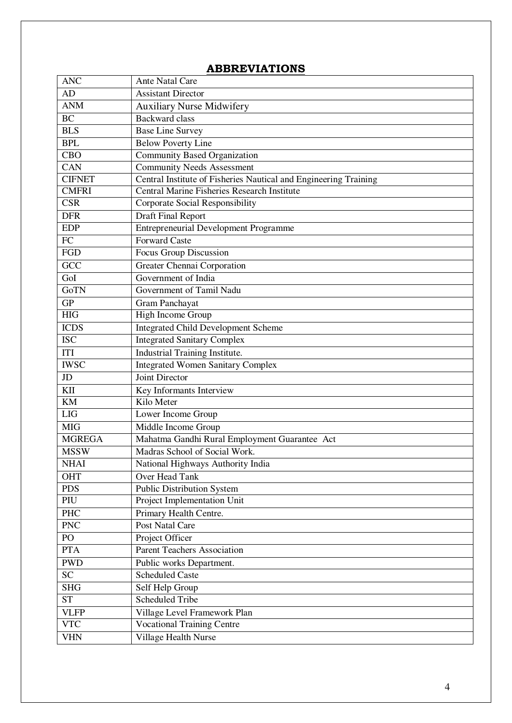| <b>ANC</b>              | <b>Ante Natal Care</b>                                           |
|-------------------------|------------------------------------------------------------------|
| AD                      | <b>Assistant Director</b>                                        |
| <b>ANM</b>              | <b>Auxiliary Nurse Midwifery</b>                                 |
| <b>BC</b>               | <b>Backward</b> class                                            |
| <b>BLS</b>              | <b>Base Line Survey</b>                                          |
| <b>BPL</b>              | <b>Below Poverty Line</b>                                        |
| <b>CBO</b>              | Community Based Organization                                     |
| <b>CAN</b>              | Community Needs Assessment                                       |
| <b>CIFNET</b>           | Central Institute of Fisheries Nautical and Engineering Training |
| <b>CMFRI</b>            | Central Marine Fisheries Research Institute                      |
| $\overline{\text{CSR}}$ | Corporate Social Responsibility                                  |
| <b>DFR</b>              | <b>Draft Final Report</b>                                        |
| <b>EDP</b>              | <b>Entrepreneurial Development Programme</b>                     |
| ${\rm FC}$              | <b>Forward Caste</b>                                             |
| FGD                     | Focus Group Discussion                                           |
| GCC                     | Greater Chennai Corporation                                      |
| GoI                     | Government of India                                              |
| GoTN                    | Government of Tamil Nadu                                         |
| GP                      | Gram Panchayat                                                   |
| HIG                     | High Income Group                                                |
| <b>ICDS</b>             | <b>Integrated Child Development Scheme</b>                       |
| <b>ISC</b>              | <b>Integrated Sanitary Complex</b>                               |
| <b>ITI</b>              | Industrial Training Institute.                                   |
| <b>IWSC</b>             | <b>Integrated Women Sanitary Complex</b>                         |
| JD                      | Joint Director                                                   |
| KII                     | Key Informants Interview                                         |
| <b>KM</b>               | Kilo Meter                                                       |
| <b>LIG</b>              | Lower Income Group                                               |
| <b>MIG</b>              | Middle Income Group                                              |
| <b>MGREGA</b>           | Mahatma Gandhi Rural Employment Guarantee Act                    |
| <b>MSSW</b>             | Madras School of Social Work.                                    |
| <b>NHAI</b>             | National Highways Authority India                                |
| <b>OHT</b>              | Over Head Tank                                                   |
| <b>PDS</b>              | <b>Public Distribution System</b>                                |
| PIU                     | Project Implementation Unit                                      |
| PHC                     | Primary Health Centre.                                           |
| <b>PNC</b>              | Post Natal Care                                                  |
| PO                      | Project Officer                                                  |
| <b>PTA</b>              | <b>Parent Teachers Association</b>                               |
| <b>PWD</b>              | Public works Department.                                         |
| <b>SC</b>               | <b>Scheduled Caste</b>                                           |
| <b>SHG</b>              | Self Help Group                                                  |
| <b>ST</b>               | <b>Scheduled Tribe</b>                                           |
| <b>VLFP</b>             | Village Level Framework Plan                                     |
| <b>VTC</b>              | <b>Vocational Training Centre</b>                                |
| <b>VHN</b>              | Village Health Nurse                                             |

# **ABBREVIATIONS**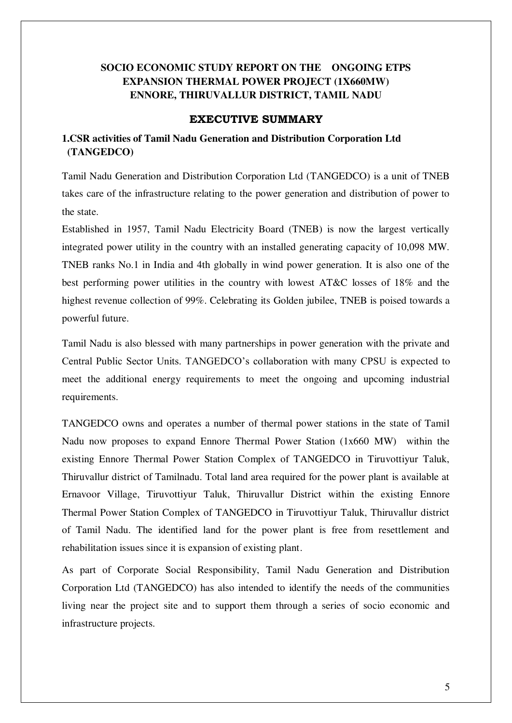# **SOCIO ECONOMIC STUDY REPORT ON THE ONGOING ETPS EXPANSION THERMAL POWER PROJECT (1X660MW) ENNORE, THIRUVALLUR DISTRICT, TAMIL NADU**

### **EXECUTIVE SUMMARY**

# **1.CSR activities of Tamil Nadu Generation and Distribution Corporation Ltd (TANGEDCO)**

Tamil Nadu Generation and Distribution Corporation Ltd (TANGEDCO) is a unit of TNEB takes care of the infrastructure relating to the power generation and distribution of power to the state.

Established in 1957, Tamil Nadu Electricity Board (TNEB) is now the largest vertically integrated power utility in the country with an installed generating capacity of 10,098 MW. TNEB ranks No.1 in India and 4th globally in wind power generation. It is also one of the best performing power utilities in the country with lowest AT&C losses of 18% and the highest revenue collection of 99%. Celebrating its Golden jubilee, TNEB is poised towards a powerful future.

Tamil Nadu is also blessed with many partnerships in power generation with the private and Central Public Sector Units. TANGEDCO's collaboration with many CPSU is expected to meet the additional energy requirements to meet the ongoing and upcoming industrial requirements.

TANGEDCO owns and operates a number of thermal power stations in the state of Tamil Nadu now proposes to expand Ennore Thermal Power Station (1x660 MW) within the existing Ennore Thermal Power Station Complex of TANGEDCO in Tiruvottiyur Taluk, Thiruvallur district of Tamilnadu. Total land area required for the power plant is available at Ernavoor Village, Tiruvottiyur Taluk, Thiruvallur District within the existing Ennore Thermal Power Station Complex of TANGEDCO in Tiruvottiyur Taluk, Thiruvallur district of Tamil Nadu. The identified land for the power plant is free from resettlement and rehabilitation issues since it is expansion of existing plant.

As part of Corporate Social Responsibility, Tamil Nadu Generation and Distribution Corporation Ltd (TANGEDCO) has also intended to identify the needs of the communities living near the project site and to support them through a series of socio economic and infrastructure projects.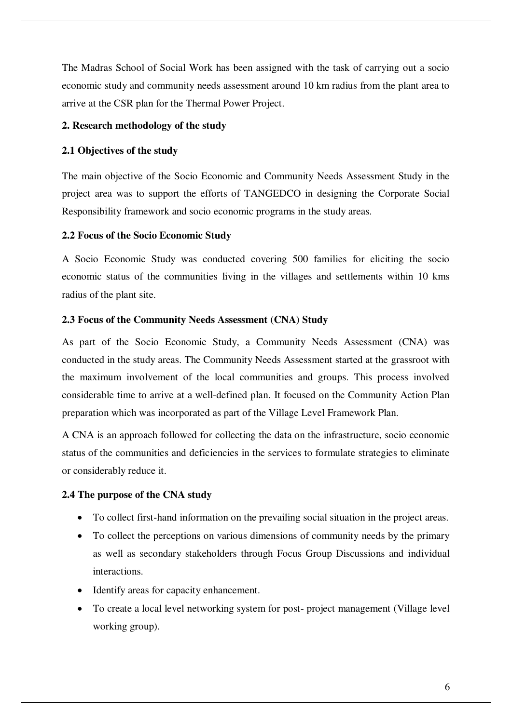The Madras School of Social Work has been assigned with the task of carrying out a socio economic study and community needs assessment around 10 km radius from the plant area to arrive at the CSR plan for the Thermal Power Project.

#### **2. Research methodology of the study**

#### **2.1 Objectives of the study**

The main objective of the Socio Economic and Community Needs Assessment Study in the project area was to support the efforts of TANGEDCO in designing the Corporate Social Responsibility framework and socio economic programs in the study areas.

#### **2.2 Focus of the Socio Economic Study**

A Socio Economic Study was conducted covering 500 families for eliciting the socio economic status of the communities living in the villages and settlements within 10 kms radius of the plant site.

#### **2.3 Focus of the Community Needs Assessment (CNA) Study**

As part of the Socio Economic Study, a Community Needs Assessment (CNA) was conducted in the study areas. The Community Needs Assessment started at the grassroot with the maximum involvement of the local communities and groups. This process involved considerable time to arrive at a well-defined plan. It focused on the Community Action Plan preparation which was incorporated as part of the Village Level Framework Plan.

A CNA is an approach followed for collecting the data on the infrastructure, socio economic status of the communities and deficiencies in the services to formulate strategies to eliminate or considerably reduce it.

#### **2.4 The purpose of the CNA study**

- To collect first-hand information on the prevailing social situation in the project areas.
- To collect the perceptions on various dimensions of community needs by the primary as well as secondary stakeholders through Focus Group Discussions and individual interactions.
- Identify areas for capacity enhancement.
- To create a local level networking system for post- project management (Village level working group).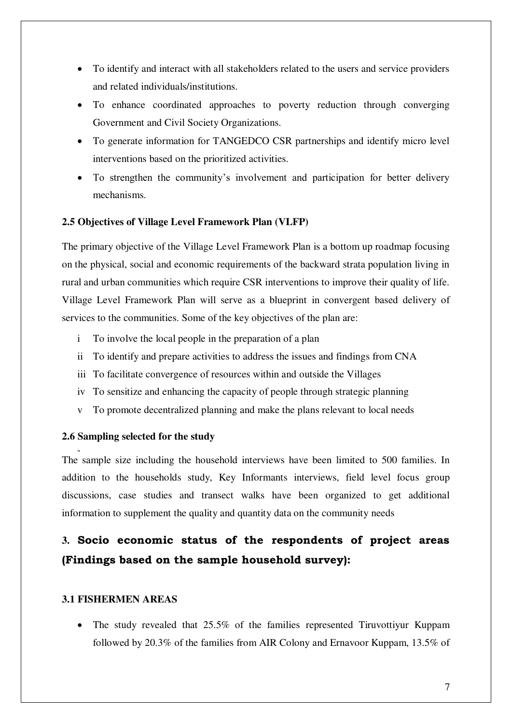- To identify and interact with all stakeholders related to the users and service providers and related individuals/institutions.
- To enhance coordinated approaches to poverty reduction through converging Government and Civil Society Organizations.
- To generate information for TANGEDCO CSR partnerships and identify micro level interventions based on the prioritized activities.
- To strengthen the community's involvement and participation for better delivery mechanisms.

#### **2.5 Objectives of Village Level Framework Plan (VLFP)**

The primary objective of the Village Level Framework Plan is a bottom up roadmap focusing on the physical, social and economic requirements of the backward strata population living in rural and urban communities which require CSR interventions to improve their quality of life. Village Level Framework Plan will serve as a blueprint in convergent based delivery of services to the communities. Some of the key objectives of the plan are:

- i To involve the local people in the preparation of a plan
- ii To identify and prepare activities to address the issues and findings from CNA
- iii To facilitate convergence of resources within and outside the Villages
- iv To sensitize and enhancing the capacity of people through strategic planning
- v To promote decentralized planning and make the plans relevant to local needs

#### **2.6 Sampling selected for the study**

**vii**

The sample size including the household interviews have been limited to 500 families. In addition to the households study, Key Informants interviews, field level focus group discussions, case studies and transect walks have been organized to get additional information to supplement the quality and quantity data on the community needs

# **3. Socio economic status of the respondents of project areas (Findings based on the sample household survey):**

#### **3.1 FISHERMEN AREAS**

 The study revealed that 25.5% of the families represented Tiruvottiyur Kuppam followed by 20.3% of the families from AIR Colony and Ernavoor Kuppam, 13.5% of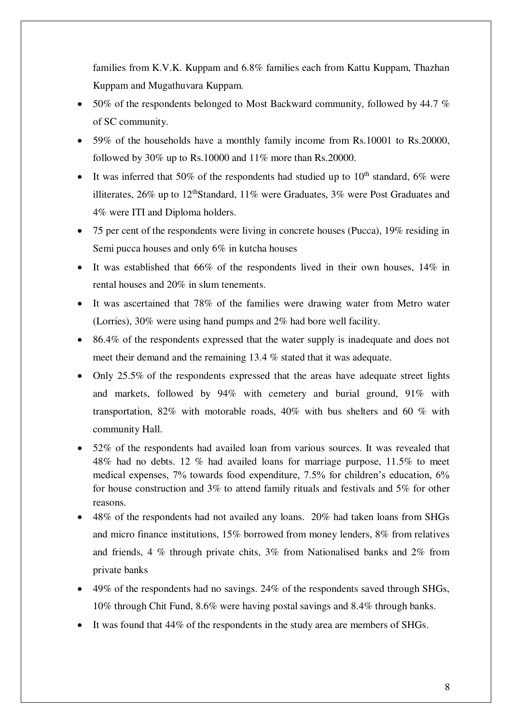families from K.V.K. Kuppam and 6.8% families each from Kattu Kuppam, Thazhan Kuppam and Mugathuvara Kuppam.

- $\bullet$  50% of the respondents belonged to Most Backward community, followed by 44.7 % of SC community.
- 59% of the households have a monthly family income from Rs.10001 to Rs.20000, followed by 30% up to Rs.10000 and 11% more than Rs.20000.
- It was inferred that 50% of the respondents had studied up to  $10<sup>th</sup>$  standard, 6% were illiterates,  $26\%$  up to  $12<sup>th</sup> Standard$ ,  $11\%$  were Graduates,  $3\%$  were Post Graduates and 4% were ITI and Diploma holders.
- 75 per cent of the respondents were living in concrete houses (Pucca), 19% residing in Semi pucca houses and only 6% in kutcha houses
- It was established that  $66\%$  of the respondents lived in their own houses,  $14\%$  in rental houses and 20% in slum tenements.
- It was ascertained that 78% of the families were drawing water from Metro water (Lorries), 30% were using hand pumps and 2% had bore well facility.
- 86.4% of the respondents expressed that the water supply is inadequate and does not meet their demand and the remaining 13.4 % stated that it was adequate.
- Only 25.5% of the respondents expressed that the areas have adequate street lights and markets, followed by 94% with cemetery and burial ground, 91% with transportation, 82% with motorable roads, 40% with bus shelters and 60 % with community Hall.
- 52% of the respondents had availed loan from various sources. It was revealed that 48% had no debts. 12 % had availed loans for marriage purpose, 11.5% to meet medical expenses, 7% towards food expenditure, 7.5% for children's education, 6% for house construction and 3% to attend family rituals and festivals and 5% for other reasons.
- 48% of the respondents had not availed any loans. 20% had taken loans from SHGs and micro finance institutions, 15% borrowed from money lenders, 8% from relatives and friends, 4 % through private chits, 3% from Nationalised banks and 2% from private banks
- 49% of the respondents had no savings. 24% of the respondents saved through SHGs, 10% through Chit Fund, 8.6% were having postal savings and 8.4% through banks.
- It was found that 44% of the respondents in the study area are members of SHGs.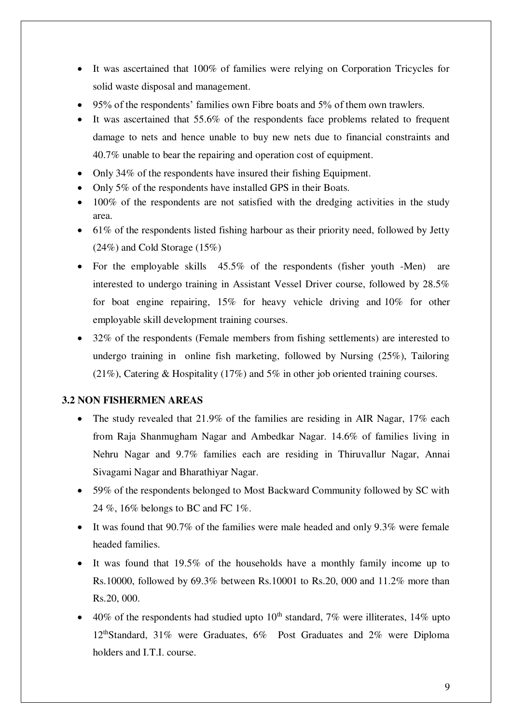- It was ascertained that 100% of families were relying on Corporation Tricycles for solid waste disposal and management.
- 95% of the respondents' families own Fibre boats and 5% of them own trawlers.
- It was ascertained that 55.6% of the respondents face problems related to frequent damage to nets and hence unable to buy new nets due to financial constraints and 40.7% unable to bear the repairing and operation cost of equipment.
- Only 34\% of the respondents have insured their fishing Equipment.
- Only 5% of the respondents have installed GPS in their Boats.
- 100% of the respondents are not satisfied with the dredging activities in the study area.
- $\bullet$  61% of the respondents listed fishing harbour as their priority need, followed by Jetty (24%) and Cold Storage (15%)
- For the employable skills 45.5% of the respondents (fisher youth -Men) are interested to undergo training in Assistant Vessel Driver course, followed by 28.5% for boat engine repairing, 15% for heavy vehicle driving and 10% for other employable skill development training courses.
- 32% of the respondents (Female members from fishing settlements) are interested to undergo training in online fish marketing, followed by Nursing (25%), Tailoring (21%), Catering & Hospitality (17%) and 5% in other job oriented training courses.

## **3.2 NON FISHERMEN AREAS**

- The study revealed that 21.9% of the families are residing in AIR Nagar, 17% each from Raja Shanmugham Nagar and Ambedkar Nagar. 14.6% of families living in Nehru Nagar and 9.7% families each are residing in Thiruvallur Nagar, Annai Sivagami Nagar and Bharathiyar Nagar.
- 59% of the respondents belonged to Most Backward Community followed by SC with 24 %, 16% belongs to BC and FC 1%.
- It was found that 90.7% of the families were male headed and only 9.3% were female headed families.
- It was found that 19.5% of the households have a monthly family income up to Rs.10000, followed by 69.3% between Rs.10001 to Rs.20, 000 and 11.2% more than Rs.20, 000.
- $\bullet$  40% of the respondents had studied upto 10<sup>th</sup> standard, 7% were illiterates, 14% upto 12thStandard, 31% were Graduates, 6% Post Graduates and 2% were Diploma holders and I.T.I. course.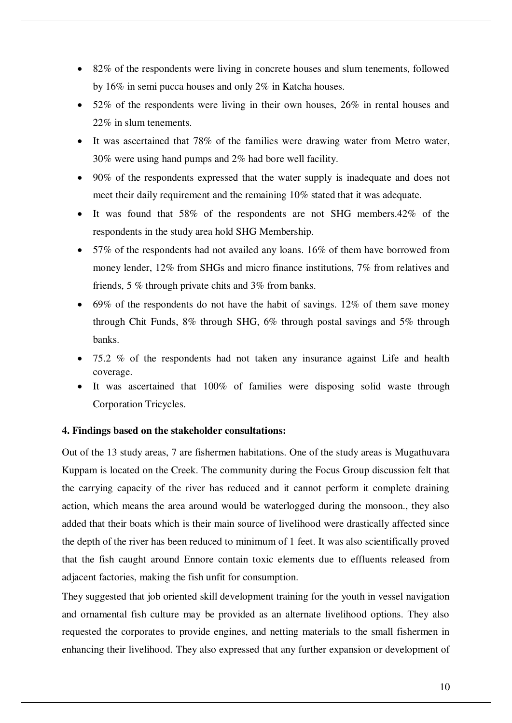- 82% of the respondents were living in concrete houses and slum tenements, followed by 16% in semi pucca houses and only 2% in Katcha houses.
- 52% of the respondents were living in their own houses, 26% in rental houses and 22% in slum tenements.
- It was ascertained that 78% of the families were drawing water from Metro water, 30% were using hand pumps and 2% had bore well facility.
- 90% of the respondents expressed that the water supply is inadequate and does not meet their daily requirement and the remaining 10% stated that it was adequate.
- It was found that 58% of the respondents are not SHG members. 42% of the respondents in the study area hold SHG Membership.
- 57% of the respondents had not availed any loans. 16% of them have borrowed from money lender, 12% from SHGs and micro finance institutions, 7% from relatives and friends, 5 % through private chits and 3% from banks.
- $\bullet$  69% of the respondents do not have the habit of savings. 12% of them save money through Chit Funds, 8% through SHG, 6% through postal savings and 5% through banks.
- 75.2 % of the respondents had not taken any insurance against Life and health coverage.
- It was ascertained that 100% of families were disposing solid waste through Corporation Tricycles.

#### **4. Findings based on the stakeholder consultations:**

Out of the 13 study areas, 7 are fishermen habitations. One of the study areas is Mugathuvara Kuppam is located on the Creek. The community during the Focus Group discussion felt that the carrying capacity of the river has reduced and it cannot perform it complete draining action, which means the area around would be waterlogged during the monsoon., they also added that their boats which is their main source of livelihood were drastically affected since the depth of the river has been reduced to minimum of 1 feet. It was also scientifically proved that the fish caught around Ennore contain toxic elements due to effluents released from adjacent factories, making the fish unfit for consumption.

They suggested that job oriented skill development training for the youth in vessel navigation and ornamental fish culture may be provided as an alternate livelihood options. They also requested the corporates to provide engines, and netting materials to the small fishermen in enhancing their livelihood. They also expressed that any further expansion or development of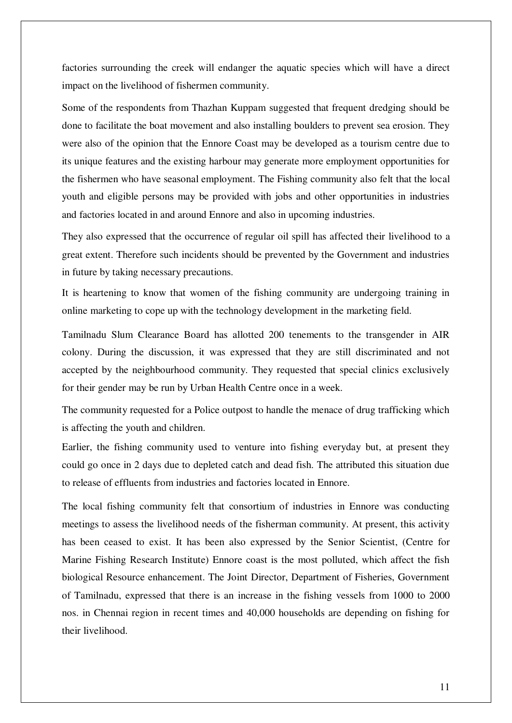factories surrounding the creek will endanger the aquatic species which will have a direct impact on the livelihood of fishermen community.

Some of the respondents from Thazhan Kuppam suggested that frequent dredging should be done to facilitate the boat movement and also installing boulders to prevent sea erosion. They were also of the opinion that the Ennore Coast may be developed as a tourism centre due to its unique features and the existing harbour may generate more employment opportunities for the fishermen who have seasonal employment. The Fishing community also felt that the local youth and eligible persons may be provided with jobs and other opportunities in industries and factories located in and around Ennore and also in upcoming industries.

They also expressed that the occurrence of regular oil spill has affected their livelihood to a great extent. Therefore such incidents should be prevented by the Government and industries in future by taking necessary precautions.

It is heartening to know that women of the fishing community are undergoing training in online marketing to cope up with the technology development in the marketing field.

Tamilnadu Slum Clearance Board has allotted 200 tenements to the transgender in AIR colony. During the discussion, it was expressed that they are still discriminated and not accepted by the neighbourhood community. They requested that special clinics exclusively for their gender may be run by Urban Health Centre once in a week.

The community requested for a Police outpost to handle the menace of drug trafficking which is affecting the youth and children.

Earlier, the fishing community used to venture into fishing everyday but, at present they could go once in 2 days due to depleted catch and dead fish. The attributed this situation due to release of effluents from industries and factories located in Ennore.

The local fishing community felt that consortium of industries in Ennore was conducting meetings to assess the livelihood needs of the fisherman community. At present, this activity has been ceased to exist. It has been also expressed by the Senior Scientist, (Centre for Marine Fishing Research Institute) Ennore coast is the most polluted, which affect the fish biological Resource enhancement. The Joint Director, Department of Fisheries, Government of Tamilnadu, expressed that there is an increase in the fishing vessels from 1000 to 2000 nos. in Chennai region in recent times and 40,000 households are depending on fishing for their livelihood.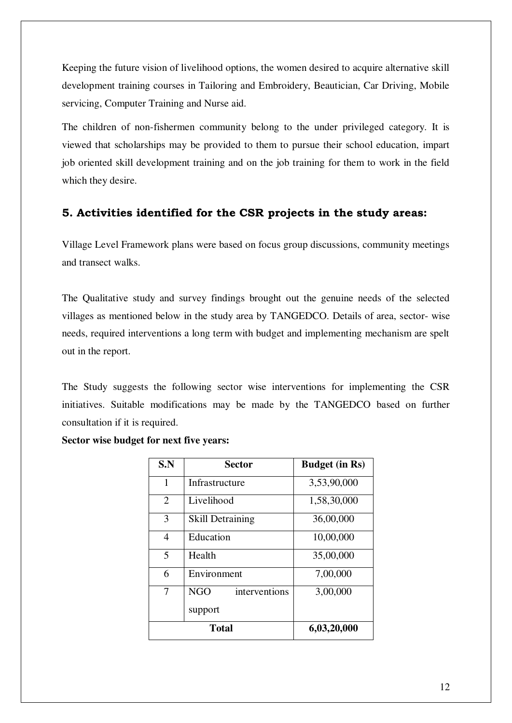Keeping the future vision of livelihood options, the women desired to acquire alternative skill development training courses in Tailoring and Embroidery, Beautician, Car Driving, Mobile servicing, Computer Training and Nurse aid.

The children of non-fishermen community belong to the under privileged category. It is viewed that scholarships may be provided to them to pursue their school education, impart job oriented skill development training and on the job training for them to work in the field which they desire.

# **5. Activities identified for the CSR projects in the study areas:**

Village Level Framework plans were based on focus group discussions, community meetings and transect walks.

The Qualitative study and survey findings brought out the genuine needs of the selected villages as mentioned below in the study area by TANGEDCO. Details of area, sector- wise needs, required interventions a long term with budget and implementing mechanism are spelt out in the report.

The Study suggests the following sector wise interventions for implementing the CSR initiatives. Suitable modifications may be made by the TANGEDCO based on further consultation if it is required.

| S.N            | Sector                  | <b>Budget (in Rs)</b> |
|----------------|-------------------------|-----------------------|
| 1              | Infrastructure          | 3,53,90,000           |
| $\overline{2}$ | Livelihood              | 1,58,30,000           |
| 3              | <b>Skill Detraining</b> | 36,00,000             |
| $\overline{4}$ | Education               | 10,00,000             |
| 5              | Health                  | 35,00,000             |
| 6              | Environment             | 7,00,000              |
| 7              | NGO<br>interventions    | 3,00,000              |
|                | support                 |                       |
|                | <b>Total</b>            | 6,03,20,000           |

**Sector wise budget for next five years:**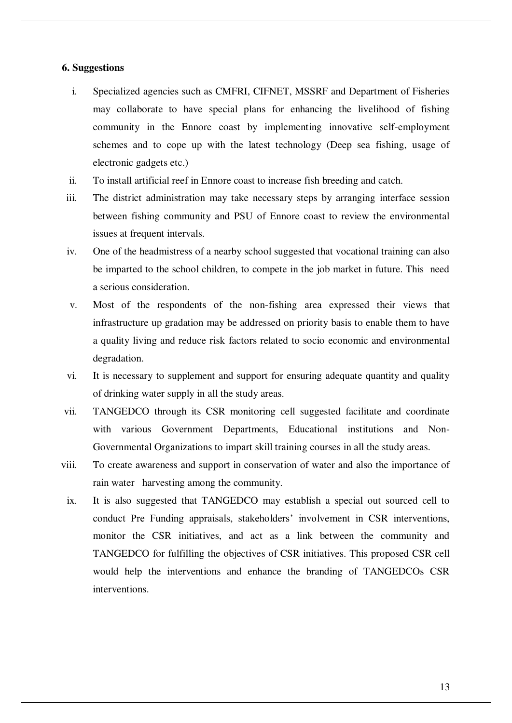#### **6. Suggestions**

- i. Specialized agencies such as CMFRI, CIFNET, MSSRF and Department of Fisheries may collaborate to have special plans for enhancing the livelihood of fishing community in the Ennore coast by implementing innovative self-employment schemes and to cope up with the latest technology (Deep sea fishing, usage of electronic gadgets etc.)
- ii. To install artificial reef in Ennore coast to increase fish breeding and catch.
- iii. The district administration may take necessary steps by arranging interface session between fishing community and PSU of Ennore coast to review the environmental issues at frequent intervals.
- iv. One of the headmistress of a nearby school suggested that vocational training can also be imparted to the school children, to compete in the job market in future. This need a serious consideration.
- v. Most of the respondents of the non-fishing area expressed their views that infrastructure up gradation may be addressed on priority basis to enable them to have a quality living and reduce risk factors related to socio economic and environmental degradation.
- vi. It is necessary to supplement and support for ensuring adequate quantity and quality of drinking water supply in all the study areas.
- vii. TANGEDCO through its CSR monitoring cell suggested facilitate and coordinate with various Government Departments, Educational institutions and Non-Governmental Organizations to impart skill training courses in all the study areas.
- viii. To create awareness and support in conservation of water and also the importance of rain water harvesting among the community.
- ix. It is also suggested that TANGEDCO may establish a special out sourced cell to conduct Pre Funding appraisals, stakeholders' involvement in CSR interventions, monitor the CSR initiatives, and act as a link between the community and TANGEDCO for fulfilling the objectives of CSR initiatives. This proposed CSR cell would help the interventions and enhance the branding of TANGEDCOs CSR interventions.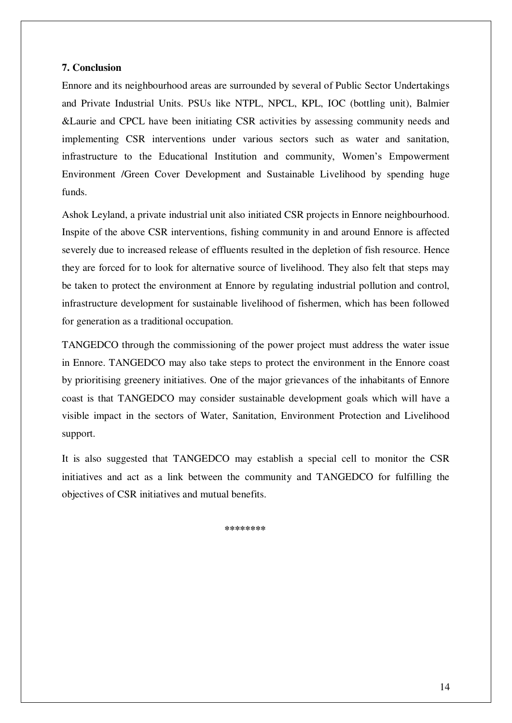#### **7. Conclusion**

Ennore and its neighbourhood areas are surrounded by several of Public Sector Undertakings and Private Industrial Units. PSUs like NTPL, NPCL, KPL, IOC (bottling unit), Balmier &Laurie and CPCL have been initiating CSR activities by assessing community needs and implementing CSR interventions under various sectors such as water and sanitation, infrastructure to the Educational Institution and community, Women's Empowerment Environment /Green Cover Development and Sustainable Livelihood by spending huge funds.

Ashok Leyland, a private industrial unit also initiated CSR projects in Ennore neighbourhood. Inspite of the above CSR interventions, fishing community in and around Ennore is affected severely due to increased release of effluents resulted in the depletion of fish resource. Hence they are forced for to look for alternative source of livelihood. They also felt that steps may be taken to protect the environment at Ennore by regulating industrial pollution and control, infrastructure development for sustainable livelihood of fishermen, which has been followed for generation as a traditional occupation.

TANGEDCO through the commissioning of the power project must address the water issue in Ennore. TANGEDCO may also take steps to protect the environment in the Ennore coast by prioritising greenery initiatives. One of the major grievances of the inhabitants of Ennore coast is that TANGEDCO may consider sustainable development goals which will have a visible impact in the sectors of Water, Sanitation, Environment Protection and Livelihood support.

It is also suggested that TANGEDCO may establish a special cell to monitor the CSR initiatives and act as a link between the community and TANGEDCO for fulfilling the objectives of CSR initiatives and mutual benefits.

 **\*\*\*\*\*\*\*\***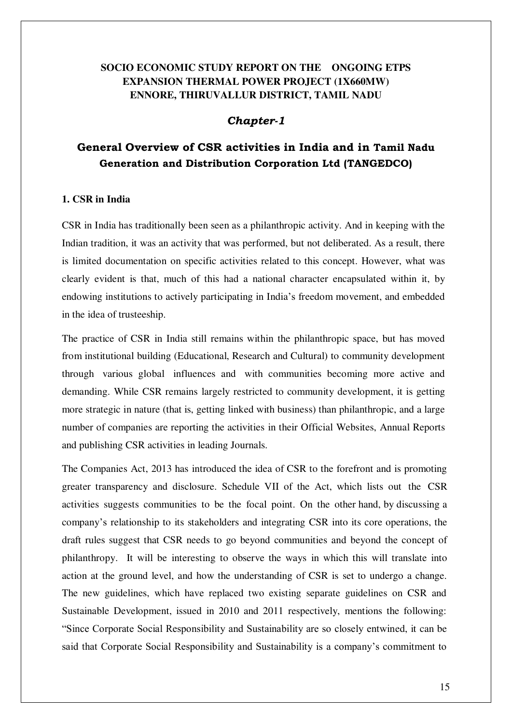# **SOCIO ECONOMIC STUDY REPORT ON THE ONGOING ETPS EXPANSION THERMAL POWER PROJECT (1X660MW) ENNORE, THIRUVALLUR DISTRICT, TAMIL NADU**

## *Chapter-1*

# **General Overview of CSR activities in India and in Tamil Nadu Generation and Distribution Corporation Ltd (TANGEDCO)**

## **1. CSR in India**

CSR in India has traditionally been seen as a philanthropic activity. And in keeping with the Indian tradition, it was an activity that was performed, but not deliberated. As a result, there is limited documentation on specific activities related to this concept. However, what was clearly evident is that, much of this had a national character encapsulated within it, by endowing institutions to actively participating in India's freedom movement, and embedded in the idea of trusteeship.

The practice of CSR in India still remains within the philanthropic space, but has moved from institutional building (Educational, Research and Cultural) to community development through various global influences and with communities becoming more active and demanding. While CSR remains largely restricted to community development, it is getting more strategic in nature (that is, getting linked with business) than philanthropic, and a large number of companies are reporting the activities in their Official Websites, Annual Reports and publishing CSR activities in leading Journals.

The Companies Act, 2013 has introduced the idea of CSR to the forefront and is promoting greater transparency and disclosure. Schedule VII of the Act, which lists out the CSR activities suggests communities to be the focal point. On the other hand, by discussing a company's relationship to its stakeholders and integrating CSR into its core operations, the draft rules suggest that CSR needs to go beyond communities and beyond the concept of philanthropy. It will be interesting to observe the ways in which this will translate into action at the ground level, and how the understanding of CSR is set to undergo a change. The new guidelines, which have replaced two existing separate guidelines on CSR and Sustainable Development, issued in 2010 and 2011 respectively, mentions the following: "Since Corporate Social Responsibility and Sustainability are so closely entwined, it can be said that Corporate Social Responsibility and Sustainability is a company's commitment to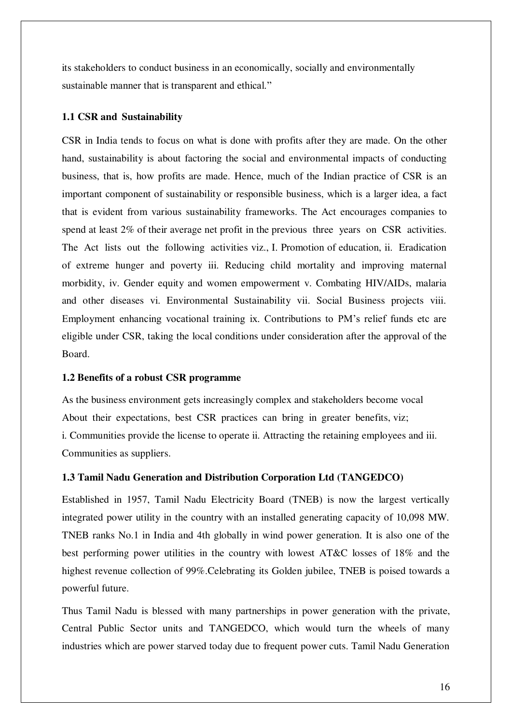its stakeholders to conduct business in an economically, socially and environmentally sustainable manner that is transparent and ethical."

#### **1.1 CSR and Sustainability**

CSR in India tends to focus on what is done with profits after they are made. On the other hand, sustainability is about factoring the social and environmental impacts of conducting business, that is, how profits are made. Hence, much of the Indian practice of CSR is an important component of sustainability or responsible business, which is a larger idea, a fact that is evident from various sustainability frameworks. The Act encourages companies to spend at least 2% of their average net profit in the previous three years on CSR activities. The Act lists out the following activities viz., I. Promotion of education, ii. Eradication of extreme hunger and poverty iii. Reducing child mortality and improving maternal morbidity, iv. Gender equity and women empowerment v. Combating HIV/AIDs, malaria and other diseases vi. Environmental Sustainability vii. Social Business projects viii. Employment enhancing vocational training ix. Contributions to PM's relief funds etc are eligible under CSR, taking the local conditions under consideration after the approval of the Board.

#### **1.2 Benefits of a robust CSR programme**

As the business environment gets increasingly complex and stakeholders become vocal About their expectations, best CSR practices can bring in greater benefits, viz; i. Communities provide the license to operate ii. Attracting the retaining employees and iii. Communities as suppliers.

#### **1.3 Tamil Nadu Generation and Distribution Corporation Ltd (TANGEDCO)**

Established in 1957, Tamil Nadu Electricity Board (TNEB) is now the largest vertically integrated power utility in the country with an installed generating capacity of 10,098 MW. TNEB ranks No.1 in India and 4th globally in wind power generation. It is also one of the best performing power utilities in the country with lowest AT&C losses of 18% and the highest revenue collection of 99%.Celebrating its Golden jubilee, TNEB is poised towards a powerful future.

Thus Tamil Nadu is blessed with many partnerships in power generation with the private, Central Public Sector units and TANGEDCO, which would turn the wheels of many industries which are power starved today due to frequent power cuts. Tamil Nadu Generation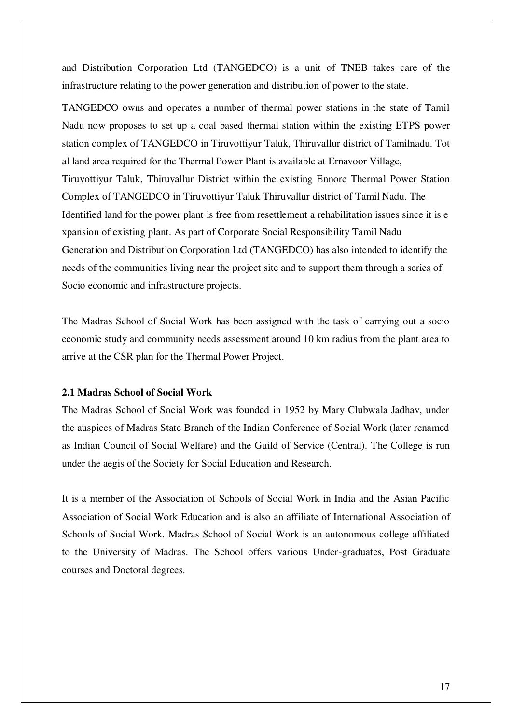and Distribution Corporation Ltd (TANGEDCO) is a unit of TNEB takes care of the infrastructure relating to the power generation and distribution of power to the state.

TANGEDCO owns and operates a number of thermal power stations in the state of Tamil Nadu now proposes to set up a coal based thermal station within the existing ETPS power station complex of TANGEDCO in Tiruvottiyur Taluk, Thiruvallur district of Tamilnadu. Tot al land area required for the Thermal Power Plant is available at Ernavoor Village, Tiruvottiyur Taluk, Thiruvallur District within the existing Ennore Thermal Power Station Complex of TANGEDCO in Tiruvottiyur Taluk Thiruvallur district of Tamil Nadu. The Identified land for the power plant is free from resettlement a rehabilitation issues since it is e xpansion of existing plant. As part of Corporate Social Responsibility Tamil Nadu Generation and Distribution Corporation Ltd (TANGEDCO) has also intended to identify the needs of the communities living near the project site and to support them through a series of Socio economic and infrastructure projects.

The Madras School of Social Work has been assigned with the task of carrying out a socio economic study and community needs assessment around 10 km radius from the plant area to arrive at the CSR plan for the Thermal Power Project.

#### **2.1 Madras School of Social Work**

The Madras School of Social Work was founded in 1952 by Mary Clubwala Jadhav, under the auspices of Madras State Branch of the Indian Conference of Social Work (later renamed as Indian Council of Social Welfare) and the Guild of Service (Central). The College is run under the aegis of the Society for Social Education and Research.

It is a member of the Association of Schools of Social Work in India and the Asian Pacific Association of Social Work Education and is also an affiliate of International Association of Schools of Social Work. Madras School of Social Work is an autonomous college affiliated to the University of Madras. The School offers various Under-graduates, Post Graduate courses and Doctoral degrees.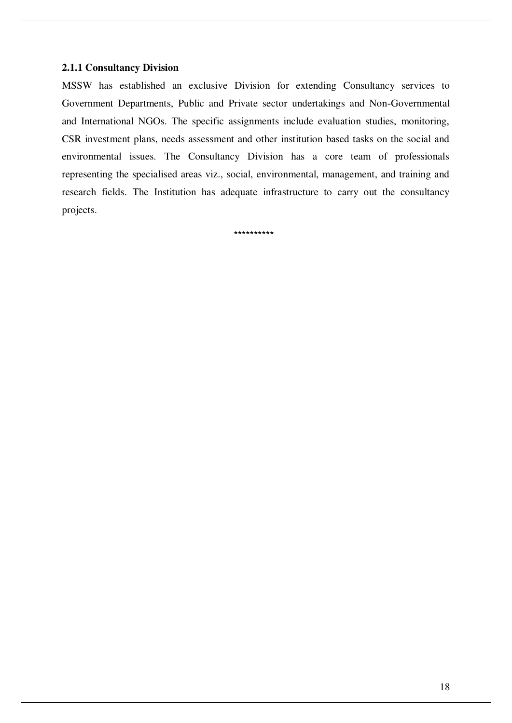#### **2.1.1 Consultancy Division**

MSSW has established an exclusive Division for extending Consultancy services to Government Departments, Public and Private sector undertakings and Non-Governmental and International NGOs. The specific assignments include evaluation studies, monitoring, CSR investment plans, needs assessment and other institution based tasks on the social and environmental issues. The Consultancy Division has a core team of professionals representing the specialised areas viz., social, environmental, management, and training and research fields. The Institution has adequate infrastructure to carry out the consultancy projects.

\*\*\*\*\*\*\*\*\*\*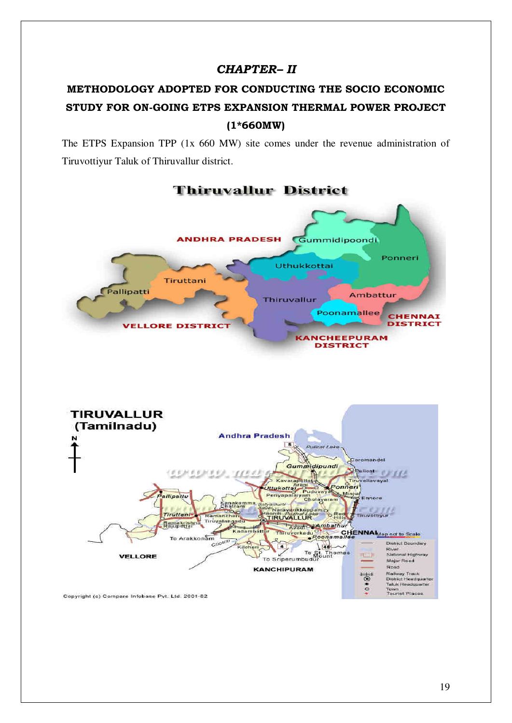# *CHAPTER– II*

# **METHODOLOGY ADOPTED FOR CONDUCTING THE SOCIO ECONOMIC STUDY FOR ON-GOING ETPS EXPANSION THERMAL POWER PROJECT (1\*660MW)**

The ETPS Expansion TPP (1x 660 MW) site comes under the revenue administration of Tiruvottiyur Taluk of Thiruvallur district.



# **Thiruvallur District**

Copyright (c) Compare Infobase Pvt. Ltd. 2001-02

Town<br>Tourist Places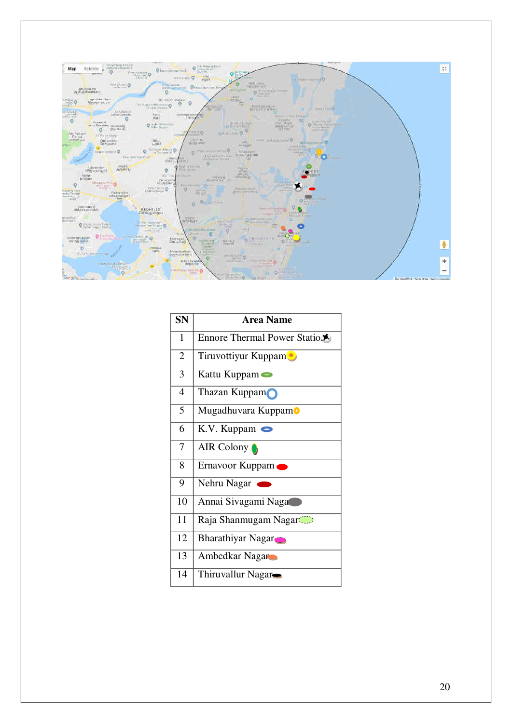

| <b>SN</b>      | <b>Area Name</b>             |
|----------------|------------------------------|
| $\mathbf{1}$   | Ennore Thermal Power Station |
| $\overline{2}$ | Tiruvottiyur Kuppam          |
| 3              | Kattu Kuppam $\bullet$       |
| $\overline{4}$ | Thazan Kuppam                |
| 5              | Mugadhuvara KuppamO          |
| 6              | $K.V.$ Kuppam $\bullet$      |
| 7              | AIR Colony                   |
| 8              | Ernavoor Kuppam              |
| 9              | Nehru Nagar                  |
| 10             | Annai Sivagami Naga          |
| 11             | Raja Shanmugam Nagar         |
| 12             | <b>Bharathiyar Nagar</b>     |
| 13             | Ambedkar Nagar               |
| 14             | Thiruvallur Nagar            |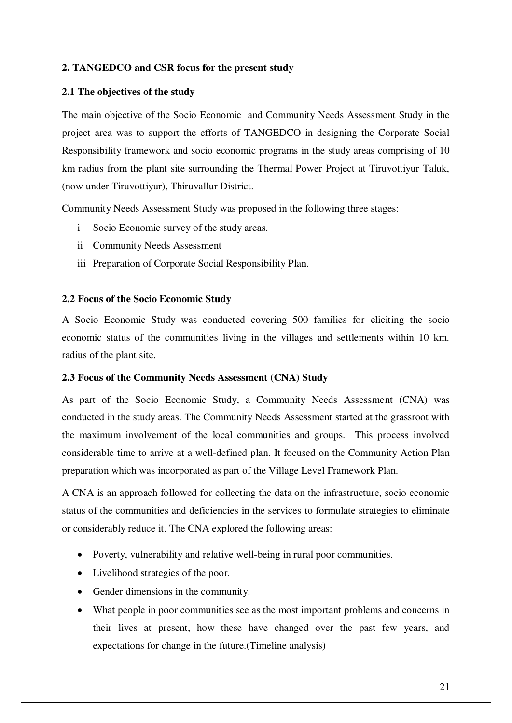#### **2. TANGEDCO and CSR focus for the present study**

#### **2.1 The objectives of the study**

The main objective of the Socio Economic and Community Needs Assessment Study in the project area was to support the efforts of TANGEDCO in designing the Corporate Social Responsibility framework and socio economic programs in the study areas comprising of 10 km radius from the plant site surrounding the Thermal Power Project at Tiruvottiyur Taluk, (now under Tiruvottiyur), Thiruvallur District.

Community Needs Assessment Study was proposed in the following three stages:

- i Socio Economic survey of the study areas.
- ii Community Needs Assessment
- iii Preparation of Corporate Social Responsibility Plan.

#### **2.2 Focus of the Socio Economic Study**

A Socio Economic Study was conducted covering 500 families for eliciting the socio economic status of the communities living in the villages and settlements within 10 km. radius of the plant site.

#### **2.3 Focus of the Community Needs Assessment (CNA) Study**

As part of the Socio Economic Study, a Community Needs Assessment (CNA) was conducted in the study areas. The Community Needs Assessment started at the grassroot with the maximum involvement of the local communities and groups. This process involved considerable time to arrive at a well-defined plan. It focused on the Community Action Plan preparation which was incorporated as part of the Village Level Framework Plan.

A CNA is an approach followed for collecting the data on the infrastructure, socio economic status of the communities and deficiencies in the services to formulate strategies to eliminate or considerably reduce it. The CNA explored the following areas:

- Poverty, vulnerability and relative well-being in rural poor communities.
- Livelihood strategies of the poor.
- Gender dimensions in the community.
- What people in poor communities see as the most important problems and concerns in their lives at present, how these have changed over the past few years, and expectations for change in the future.(Timeline analysis)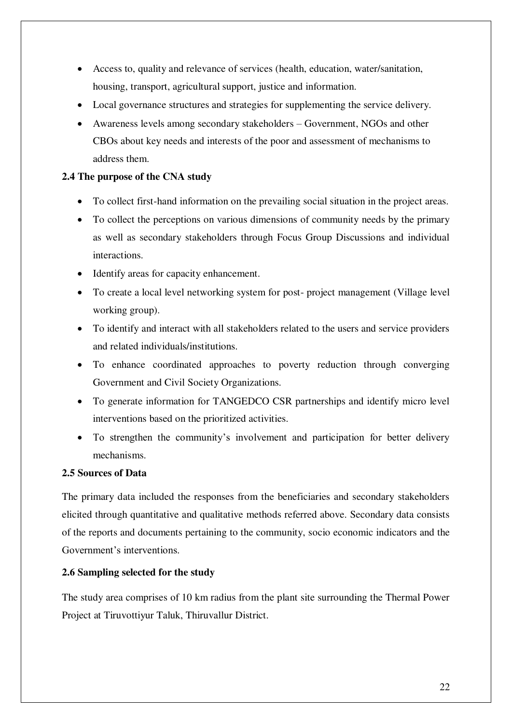- Access to, quality and relevance of services (health, education, water/sanitation, housing, transport, agricultural support, justice and information.
- Local governance structures and strategies for supplementing the service delivery.
- Awareness levels among secondary stakeholders Government, NGOs and other CBOs about key needs and interests of the poor and assessment of mechanisms to address them.

## **2.4 The purpose of the CNA study**

- To collect first-hand information on the prevailing social situation in the project areas.
- To collect the perceptions on various dimensions of community needs by the primary as well as secondary stakeholders through Focus Group Discussions and individual interactions.
- Identify areas for capacity enhancement.
- To create a local level networking system for post- project management (Village level working group).
- To identify and interact with all stakeholders related to the users and service providers and related individuals/institutions.
- To enhance coordinated approaches to poverty reduction through converging Government and Civil Society Organizations.
- To generate information for TANGEDCO CSR partnerships and identify micro level interventions based on the prioritized activities.
- To strengthen the community's involvement and participation for better delivery mechanisms.

## **2.5 Sources of Data**

The primary data included the responses from the beneficiaries and secondary stakeholders elicited through quantitative and qualitative methods referred above. Secondary data consists of the reports and documents pertaining to the community, socio economic indicators and the Government's interventions.

## **2.6 Sampling selected for the study**

The study area comprises of 10 km radius from the plant site surrounding the Thermal Power Project at Tiruvottiyur Taluk, Thiruvallur District.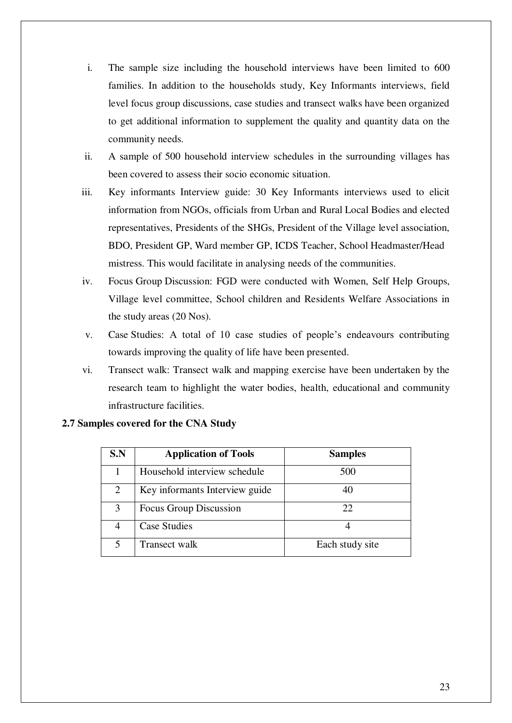- i. The sample size including the household interviews have been limited to 600 families. In addition to the households study, Key Informants interviews, field level focus group discussions, case studies and transect walks have been organized to get additional information to supplement the quality and quantity data on the community needs.
- ii. A sample of 500 household interview schedules in the surrounding villages has been covered to assess their socio economic situation.
- iii. Key informants Interview guide: 30 Key Informants interviews used to elicit information from NGOs, officials from Urban and Rural Local Bodies and elected representatives, Presidents of the SHGs, President of the Village level association, BDO, President GP, Ward member GP, ICDS Teacher, School Headmaster/Head mistress. This would facilitate in analysing needs of the communities.
- iv. Focus Group Discussion: FGD were conducted with Women, Self Help Groups, Village level committee, School children and Residents Welfare Associations in the study areas (20 Nos).
- v. Case Studies: A total of 10 case studies of people's endeavours contributing towards improving the quality of life have been presented.
- vi. Transect walk: Transect walk and mapping exercise have been undertaken by the research team to highlight the water bodies, health, educational and community infrastructure facilities.

| S.N            | <b>Application of Tools</b>    | <b>Samples</b>  |
|----------------|--------------------------------|-----------------|
|                | Household interview schedule   | 500             |
| $\overline{2}$ | Key informants Interview guide | 40              |
| 3              | Focus Group Discussion         | 22              |
|                | <b>Case Studies</b>            |                 |
|                | Transect walk                  | Each study site |

## **2.7 Samples covered for the CNA Study**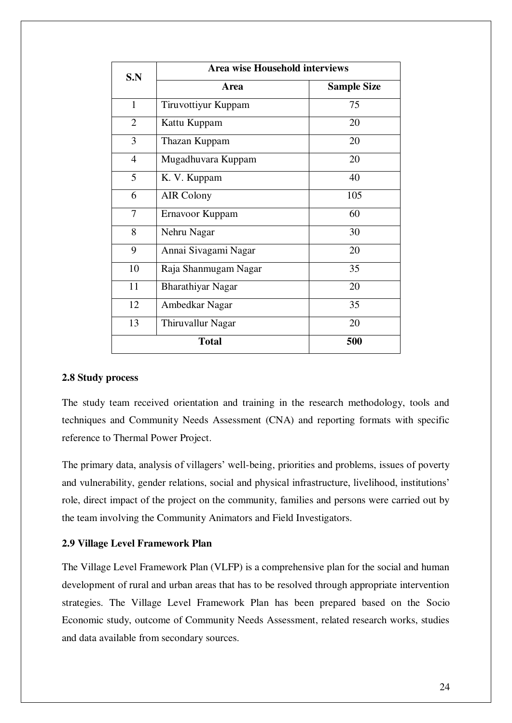| S.N            | <b>Area wise Household interviews</b> |                    |  |
|----------------|---------------------------------------|--------------------|--|
|                | Area                                  | <b>Sample Size</b> |  |
| $\mathbf{1}$   | Tiruvottiyur Kuppam                   | 75                 |  |
| $\overline{2}$ | Kattu Kuppam                          | 20                 |  |
| 3              | Thazan Kuppam                         | 20                 |  |
| $\overline{4}$ | Mugadhuvara Kuppam                    | 20                 |  |
| 5              | K. V. Kuppam                          | 40                 |  |
| 6              | <b>AIR Colony</b>                     | 105                |  |
| 7              | Ernavoor Kuppam                       | 60                 |  |
| 8              | Nehru Nagar                           | 30                 |  |
| 9              | Annai Sivagami Nagar                  | 20                 |  |
| 10             | Raja Shanmugam Nagar                  | 35                 |  |
| 11             | <b>Bharathiyar Nagar</b>              | 20                 |  |
| 12             | Ambedkar Nagar                        | 35                 |  |
| 13             | Thiruvallur Nagar                     | 20                 |  |
|                | <b>Total</b><br>500                   |                    |  |

#### **2.8 Study process**

The study team received orientation and training in the research methodology, tools and techniques and Community Needs Assessment (CNA) and reporting formats with specific reference to Thermal Power Project.

The primary data, analysis of villagers' well-being, priorities and problems, issues of poverty and vulnerability, gender relations, social and physical infrastructure, livelihood, institutions' role, direct impact of the project on the community, families and persons were carried out by the team involving the Community Animators and Field Investigators.

#### **2.9 Village Level Framework Plan**

The Village Level Framework Plan (VLFP) is a comprehensive plan for the social and human development of rural and urban areas that has to be resolved through appropriate intervention strategies. The Village Level Framework Plan has been prepared based on the Socio Economic study, outcome of Community Needs Assessment, related research works, studies and data available from secondary sources.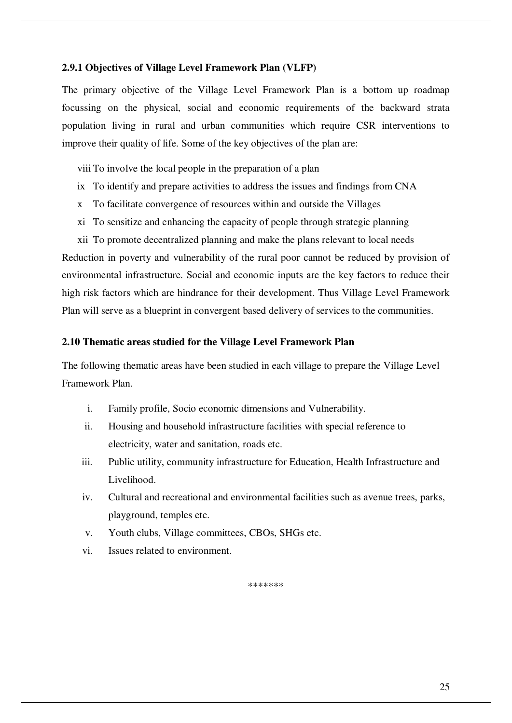#### **2.9.1 Objectives of Village Level Framework Plan (VLFP)**

The primary objective of the Village Level Framework Plan is a bottom up roadmap focussing on the physical, social and economic requirements of the backward strata population living in rural and urban communities which require CSR interventions to improve their quality of life. Some of the key objectives of the plan are:

viii To involve the local people in the preparation of a plan

- ix To identify and prepare activities to address the issues and findings from CNA
- x To facilitate convergence of resources within and outside the Villages
- xi To sensitize and enhancing the capacity of people through strategic planning

xii To promote decentralized planning and make the plans relevant to local needs Reduction in poverty and vulnerability of the rural poor cannot be reduced by provision of environmental infrastructure. Social and economic inputs are the key factors to reduce their high risk factors which are hindrance for their development. Thus Village Level Framework Plan will serve as a blueprint in convergent based delivery of services to the communities.

#### **2.10 Thematic areas studied for the Village Level Framework Plan**

The following thematic areas have been studied in each village to prepare the Village Level Framework Plan.

- i. Family profile, Socio economic dimensions and Vulnerability.
- ii. Housing and household infrastructure facilities with special reference to electricity, water and sanitation, roads etc.
- iii. Public utility, community infrastructure for Education, Health Infrastructure and Livelihood.
- iv. Cultural and recreational and environmental facilities such as avenue trees, parks, playground, temples etc.
- v. Youth clubs, Village committees, CBOs, SHGs etc.
- vi. Issues related to environment.

\*\*\*\*\*\*\*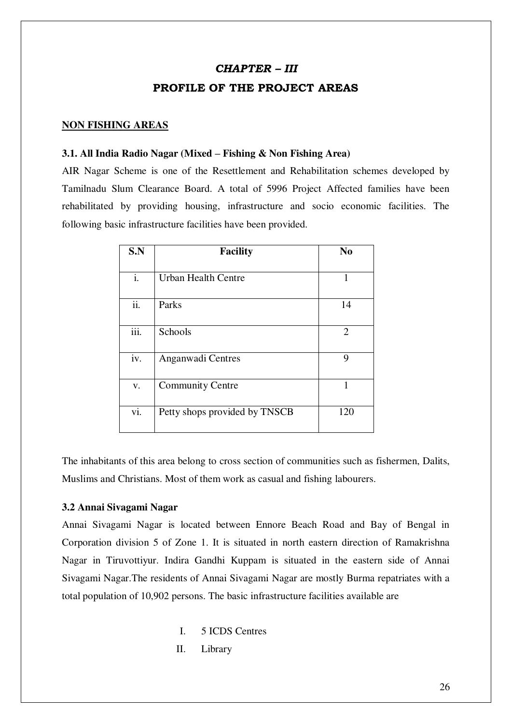## *CHAPTER – III*

# **PROFILE OF THE PROJECT AREAS**

#### **NON FISHING AREAS**

#### **3.1. All India Radio Nagar (Mixed – Fishing & Non Fishing Area)**

AIR Nagar Scheme is one of the Resettlement and Rehabilitation schemes developed by Tamilnadu Slum Clearance Board. A total of 5996 Project Affected families have been rehabilitated by providing housing, infrastructure and socio economic facilities. The following basic infrastructure facilities have been provided.

| S.N               | <b>Facility</b>               | N <sub>0</sub> |
|-------------------|-------------------------------|----------------|
| i.                | Urban Health Centre           | 1              |
| $\overline{ii}$ . | Parks                         | 14             |
| iii.              | Schools                       | 2              |
| iv.               | Anganwadi Centres             | 9              |
| V.                | <b>Community Centre</b>       | 1              |
| vi.               | Petty shops provided by TNSCB | 120            |

The inhabitants of this area belong to cross section of communities such as fishermen, Dalits, Muslims and Christians. Most of them work as casual and fishing labourers.

#### **3.2 Annai Sivagami Nagar**

Annai Sivagami Nagar is located between Ennore Beach Road and Bay of Bengal in Corporation division 5 of Zone 1. It is situated in north eastern direction of Ramakrishna Nagar in Tiruvottiyur. Indira Gandhi Kuppam is situated in the eastern side of Annai Sivagami Nagar.The residents of Annai Sivagami Nagar are mostly Burma repatriates with a total population of 10,902 persons. The basic infrastructure facilities available are

- I. 5 ICDS Centres
- II. Library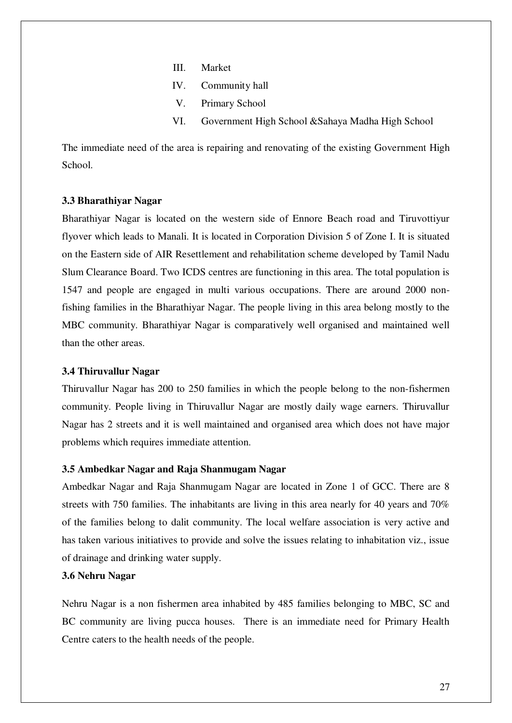- III. Market
- IV. Community hall
- V. Primary School
- VI. Government High School &Sahaya Madha High School

The immediate need of the area is repairing and renovating of the existing Government High School.

#### **3.3 Bharathiyar Nagar**

Bharathiyar Nagar is located on the western side of Ennore Beach road and Tiruvottiyur flyover which leads to Manali. It is located in Corporation Division 5 of Zone I. It is situated on the Eastern side of AIR Resettlement and rehabilitation scheme developed by Tamil Nadu Slum Clearance Board. Two ICDS centres are functioning in this area. The total population is 1547 and people are engaged in multi various occupations. There are around 2000 nonfishing families in the Bharathiyar Nagar. The people living in this area belong mostly to the MBC community. Bharathiyar Nagar is comparatively well organised and maintained well than the other areas.

#### **3.4 Thiruvallur Nagar**

Thiruvallur Nagar has 200 to 250 families in which the people belong to the non-fishermen community. People living in Thiruvallur Nagar are mostly daily wage earners. Thiruvallur Nagar has 2 streets and it is well maintained and organised area which does not have major problems which requires immediate attention.

#### **3.5 Ambedkar Nagar and Raja Shanmugam Nagar**

Ambedkar Nagar and Raja Shanmugam Nagar are located in Zone 1 of GCC. There are 8 streets with 750 families. The inhabitants are living in this area nearly for 40 years and 70% of the families belong to dalit community. The local welfare association is very active and has taken various initiatives to provide and solve the issues relating to inhabitation viz., issue of drainage and drinking water supply.

#### **3.6 Nehru Nagar**

Nehru Nagar is a non fishermen area inhabited by 485 families belonging to MBC, SC and BC community are living pucca houses. There is an immediate need for Primary Health Centre caters to the health needs of the people.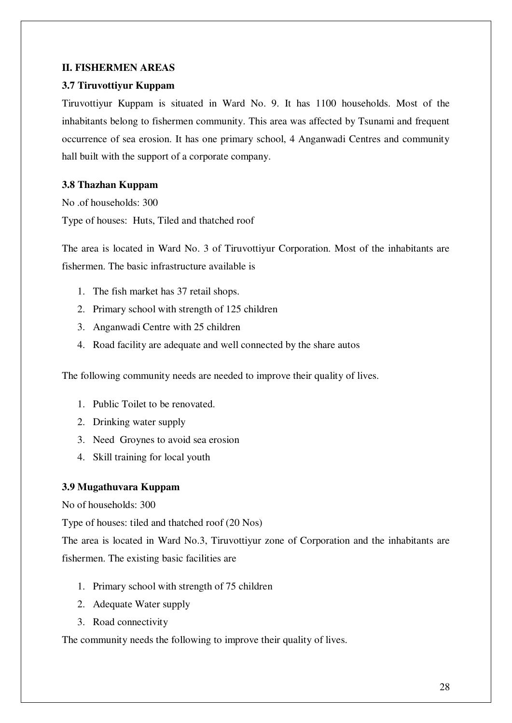## **II. FISHERMEN AREAS**

## **3.7 Tiruvottiyur Kuppam**

Tiruvottiyur Kuppam is situated in Ward No. 9. It has 1100 households. Most of the inhabitants belong to fishermen community. This area was affected by Tsunami and frequent occurrence of sea erosion. It has one primary school, 4 Anganwadi Centres and community hall built with the support of a corporate company.

## **3.8 Thazhan Kuppam**

No .of households: 300 Type of houses: Huts, Tiled and thatched roof

The area is located in Ward No. 3 of Tiruvottiyur Corporation. Most of the inhabitants are fishermen. The basic infrastructure available is

- 1. The fish market has 37 retail shops.
- 2. Primary school with strength of 125 children
- 3. Anganwadi Centre with 25 children
- 4. Road facility are adequate and well connected by the share autos

The following community needs are needed to improve their quality of lives.

- 1. Public Toilet to be renovated.
- 2. Drinking water supply
- 3. Need Groynes to avoid sea erosion
- 4. Skill training for local youth

## **3.9 Mugathuvara Kuppam**

No of households: 300

Type of houses: tiled and thatched roof (20 Nos)

The area is located in Ward No.3, Tiruvottiyur zone of Corporation and the inhabitants are fishermen. The existing basic facilities are

- 1. Primary school with strength of 75 children
- 2. Adequate Water supply
- 3. Road connectivity

The community needs the following to improve their quality of lives.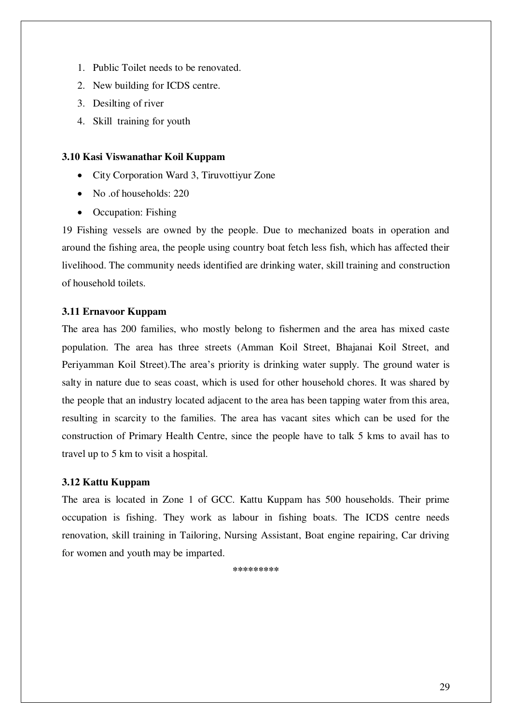- 1. Public Toilet needs to be renovated.
- 2. New building for ICDS centre.
- 3. Desilting of river
- 4. Skill training for youth

#### **3.10 Kasi Viswanathar Koil Kuppam**

- City Corporation Ward 3, Tiruvottiyur Zone
- No .of households: 220
- Occupation: Fishing

19 Fishing vessels are owned by the people. Due to mechanized boats in operation and around the fishing area, the people using country boat fetch less fish, which has affected their livelihood. The community needs identified are drinking water, skill training and construction of household toilets.

## **3.11 Ernavoor Kuppam**

The area has 200 families, who mostly belong to fishermen and the area has mixed caste population. The area has three streets (Amman Koil Street, Bhajanai Koil Street, and Periyamman Koil Street).The area's priority is drinking water supply. The ground water is salty in nature due to seas coast, which is used for other household chores. It was shared by the people that an industry located adjacent to the area has been tapping water from this area, resulting in scarcity to the families. The area has vacant sites which can be used for the construction of Primary Health Centre, since the people have to talk 5 kms to avail has to travel up to 5 km to visit a hospital.

## **3.12 Kattu Kuppam**

The area is located in Zone 1 of GCC. Kattu Kuppam has 500 households. Their prime occupation is fishing. They work as labour in fishing boats. The ICDS centre needs renovation, skill training in Tailoring, Nursing Assistant, Boat engine repairing, Car driving for women and youth may be imparted.

**\*\*\*\*\*\*\*\*\***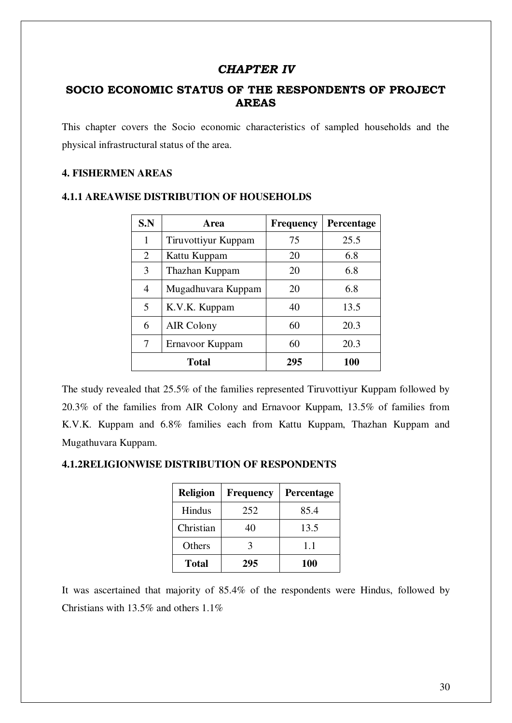# *CHAPTER IV*

# **SOCIO ECONOMIC STATUS OF THE RESPONDENTS OF PROJECT AREAS**

This chapter covers the Socio economic characteristics of sampled households and the physical infrastructural status of the area.

#### **4. FISHERMEN AREAS**

| S.N            | Area                | <b>Frequency</b> | Percentage |
|----------------|---------------------|------------------|------------|
| 1              | Tiruvottiyur Kuppam | 75               | 25.5       |
| 2              | Kattu Kuppam        | 20               | 6.8        |
| 3              | Thazhan Kuppam      | 20               | 6.8        |
| $\overline{4}$ | Mugadhuvara Kuppam  | 20               | 6.8        |
| 5              | K.V.K. Kuppam       | 40               | 13.5       |
| 6              | <b>AIR Colony</b>   | 60               | 20.3       |
| 7              | Ernavoor Kuppam     | 60               | 20.3       |
| <b>Total</b>   |                     | 295              | 100        |

#### **4.1.1 AREAWISE DISTRIBUTION OF HOUSEHOLDS**

The study revealed that 25.5% of the families represented Tiruvottiyur Kuppam followed by 20.3% of the families from AIR Colony and Ernavoor Kuppam, 13.5% of families from K.V.K. Kuppam and 6.8% families each from Kattu Kuppam, Thazhan Kuppam and Mugathuvara Kuppam.

#### **4.1.2RELIGIONWISE DISTRIBUTION OF RESPONDENTS**

| <b>Religion</b> | <b>Frequency</b> | Percentage |
|-----------------|------------------|------------|
| Hindus          | 252              | 85.4       |
| Christian       | 40               | 13.5       |
| Others          |                  | 1.1        |
| <b>Total</b>    | 295              | 100        |

It was ascertained that majority of 85.4% of the respondents were Hindus, followed by Christians with 13.5% and others 1.1%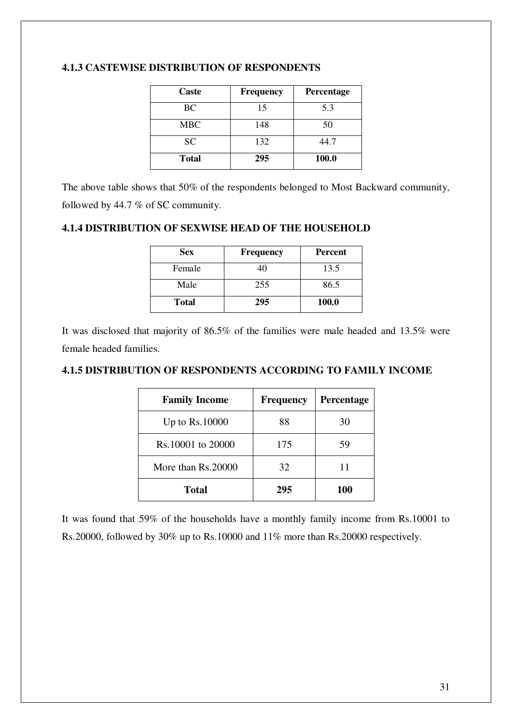| <b>Caste</b> | <b>Frequency</b> | Percentage |
|--------------|------------------|------------|
| <b>BC</b>    | 15               | 5.3        |
| MBC          | 148              | 50         |
| <b>SC</b>    | 132              | 44.7       |
| <b>Total</b> | 295              | 100.0      |

#### **4.1.3 CASTEWISE DISTRIBUTION OF RESPONDENTS**

The above table shows that 50% of the respondents belonged to Most Backward community, followed by 44.7 % of SC community.

#### **4.1.4 DISTRIBUTION OF SEXWISE HEAD OF THE HOUSEHOLD**

| <b>Sex</b>   | <b>Frequency</b> | <b>Percent</b> |
|--------------|------------------|----------------|
| Female       | 40               | 13.5           |
| Male         | 255              | 86.5           |
| <b>Total</b> | 295              | 100.0          |

It was disclosed that majority of 86.5% of the families were male headed and 13.5% were female headed families.

# **4.1.5 DISTRIBUTION OF RESPONDENTS ACCORDING TO FAMILY INCOME**

| <b>Family Income</b> | <b>Frequency</b> | Percentage |
|----------------------|------------------|------------|
| Up to $Rs.10000$     | 88               | 30         |
| Rs.10001 to 20000    | 175              | 59         |
| More than Rs.20000   | 32               |            |
| Total                | 295              | <b>100</b> |

It was found that 59% of the households have a monthly family income from Rs.10001 to Rs.20000, followed by 30% up to Rs.10000 and 11% more than Rs.20000 respectively.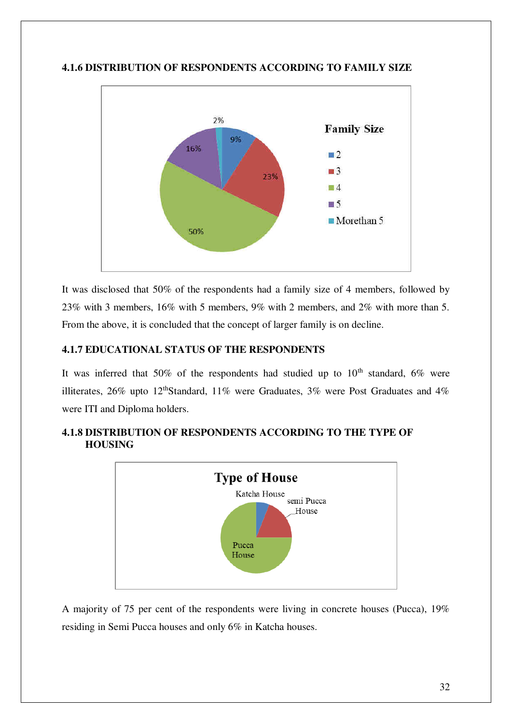

# **4.1.6 DISTRIBUTION OF RESPONDENTS ACCORDING TO FAMILY SIZE**

It was disclosed that 50% of the respondents had a family size of 4 members, followed by 23% with 3 members, 16% with 5 members, 9% with 2 members, and 2% with more than 5. From the above, it is concluded that the concept of larger family is on decline.

# **4.1.7 EDUCATIONAL STATUS OF THE RESPONDENTS**

It was inferred that 50% of the respondents had studied up to  $10<sup>th</sup>$  standard, 6% were illiterates, 26% upto 12<sup>th</sup>Standard, 11% were Graduates, 3% were Post Graduates and 4% were ITI and Diploma holders.



# **4.1.8 DISTRIBUTION OF RESPONDENTS ACCORDING TO THE TYPE OF HOUSING**

A majority of 75 per cent of the respondents were living in concrete houses (Pucca), 19% residing in Semi Pucca houses and only 6% in Katcha houses.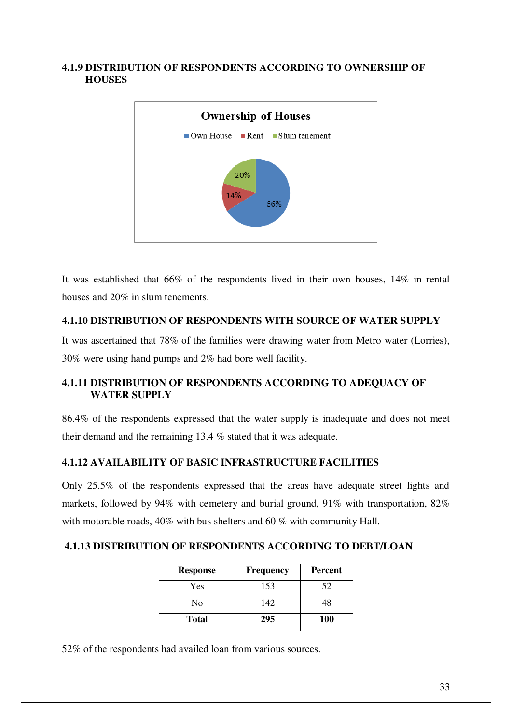### **4.1.9 DISTRIBUTION OF RESPONDENTS ACCORDING TO OWNERSHIP OF HOUSES**



It was established that 66% of the respondents lived in their own houses, 14% in rental houses and 20% in slum tenements.

## **4.1.10 DISTRIBUTION OF RESPONDENTS WITH SOURCE OF WATER SUPPLY**

It was ascertained that 78% of the families were drawing water from Metro water (Lorries), 30% were using hand pumps and 2% had bore well facility.

# **4.1.11 DISTRIBUTION OF RESPONDENTS ACCORDING TO ADEQUACY OF WATER SUPPLY**

86.4% of the respondents expressed that the water supply is inadequate and does not meet their demand and the remaining 13.4 % stated that it was adequate.

# **4.1.12 AVAILABILITY OF BASIC INFRASTRUCTURE FACILITIES**

Only 25.5% of the respondents expressed that the areas have adequate street lights and markets, followed by 94% with cemetery and burial ground, 91% with transportation, 82% with motorable roads, 40% with bus shelters and 60 % with community Hall.

## **4.1.13 DISTRIBUTION OF RESPONDENTS ACCORDING TO DEBT/LOAN**

| <b>Response</b> | <b>Frequency</b> | <b>Percent</b> |
|-----------------|------------------|----------------|
| Yes             | 153              | 52             |
| No              | 142              | 48             |
| <b>Total</b>    | 295              | <b>100</b>     |

52% of the respondents had availed loan from various sources.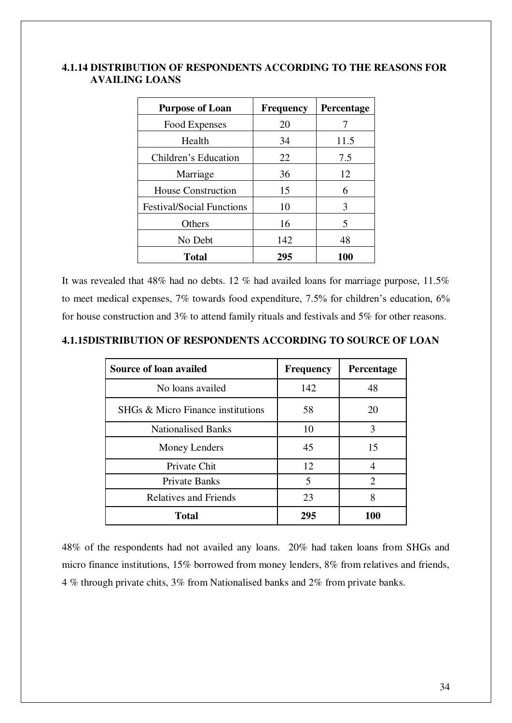#### **4.1.14 DISTRIBUTION OF RESPONDENTS ACCORDING TO THE REASONS FOR AVAILING LOANS**

| <b>Purpose of Loan</b>           | <b>Frequency</b> | <b>Percentage</b> |
|----------------------------------|------------------|-------------------|
| Food Expenses                    | 20               |                   |
| Health                           | 34               | 11.5              |
| Children's Education             | 22               | 7.5               |
| Marriage                         | 36               | 12                |
| <b>House Construction</b>        | 15               | 6                 |
| <b>Festival/Social Functions</b> | 10               | 3                 |
| Others                           | 16               | 5                 |
| No Debt                          | 142              | 48                |
| <b>Total</b>                     | 295              | 100               |

It was revealed that 48% had no debts. 12 % had availed loans for marriage purpose, 11.5% to meet medical expenses, 7% towards food expenditure, 7.5% for children's education, 6% for house construction and 3% to attend family rituals and festivals and 5% for other reasons.

#### **4.1.15DISTRIBUTION OF RESPONDENTS ACCORDING TO SOURCE OF LOAN**

| <b>Source of loan availed</b>     | <b>Frequency</b> | Percentage     |
|-----------------------------------|------------------|----------------|
| No loans availed                  | 142              | 48             |
| SHGs & Micro Finance institutions | 58               | 20             |
| <b>Nationalised Banks</b>         | 10               | 3              |
| Money Lenders                     | 45               | 15             |
| Private Chit                      | 12               |                |
| <b>Private Banks</b>              | 5                | $\overline{2}$ |
| <b>Relatives and Friends</b>      | 23               | 8              |
| <b>Total</b>                      | 295              | 100            |

48% of the respondents had not availed any loans. 20% had taken loans from SHGs and micro finance institutions, 15% borrowed from money lenders, 8% from relatives and friends, 4 % through private chits, 3% from Nationalised banks and 2% from private banks.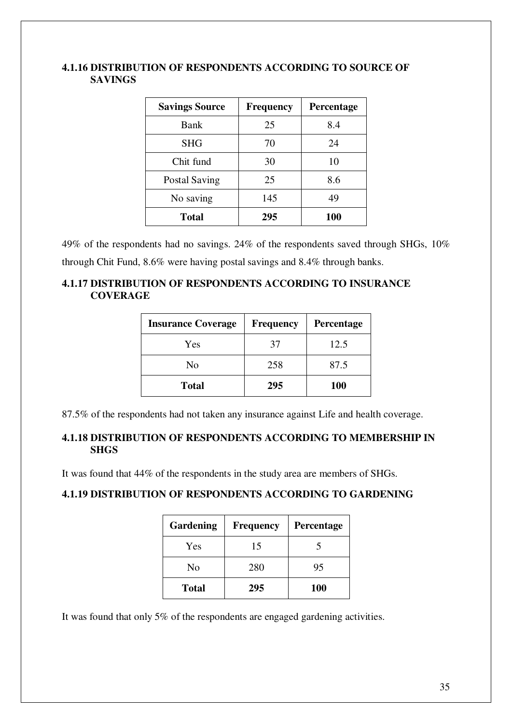#### **4.1.16 DISTRIBUTION OF RESPONDENTS ACCORDING TO SOURCE OF SAVINGS**

| <b>Savings Source</b> | <b>Frequency</b> | <b>Percentage</b> |
|-----------------------|------------------|-------------------|
| Bank                  | 25               | 8.4               |
| <b>SHG</b>            | 70               | 24                |
| Chit fund             | 30               | 10                |
| <b>Postal Saving</b>  | 25               | 8.6               |
| No saving             | 145              | 49                |
| Total                 | 295              | <b>100</b>        |

49% of the respondents had no savings. 24% of the respondents saved through SHGs, 10% through Chit Fund, 8.6% were having postal savings and 8.4% through banks.

# **4.1.17 DISTRIBUTION OF RESPONDENTS ACCORDING TO INSURANCE COVERAGE**

| <b>Insurance Coverage</b> | <b>Frequency</b> | Percentage |
|---------------------------|------------------|------------|
| Yes                       | 37               | 12.5       |
| No                        | 258              | 87.5       |
| <b>Total</b>              | 295              | <b>100</b> |

87.5% of the respondents had not taken any insurance against Life and health coverage.

# **4.1.18 DISTRIBUTION OF RESPONDENTS ACCORDING TO MEMBERSHIP IN SHGS**

It was found that 44% of the respondents in the study area are members of SHGs.

# **4.1.19 DISTRIBUTION OF RESPONDENTS ACCORDING TO GARDENING**

| Gardening    | <b>Frequency</b> | Percentage |
|--------------|------------------|------------|
| Yes          | 15               |            |
| No           | 280              | 95         |
| <b>Total</b> | 295              | <b>100</b> |

It was found that only 5% of the respondents are engaged gardening activities.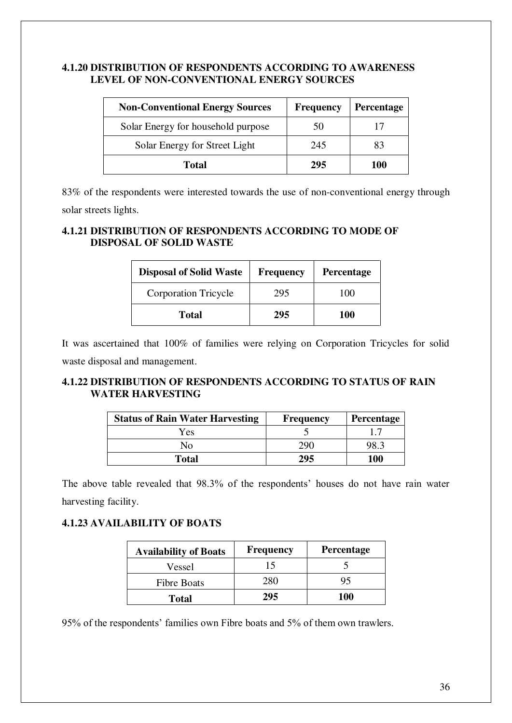#### **4.1.20 DISTRIBUTION OF RESPONDENTS ACCORDING TO AWARENESS LEVEL OF NON-CONVENTIONAL ENERGY SOURCES**

| <b>Non-Conventional Energy Sources</b> | <b>Frequency</b> | <b>Percentage</b> |
|----------------------------------------|------------------|-------------------|
| Solar Energy for household purpose     | 50               |                   |
| Solar Energy for Street Light          | 245              | 83                |
| <b>Total</b>                           | 295              | 100               |

83% of the respondents were interested towards the use of non-conventional energy through solar streets lights.

# **4.1.21 DISTRIBUTION OF RESPONDENTS ACCORDING TO MODE OF DISPOSAL OF SOLID WASTE**

| <b>Disposal of Solid Waste</b> | <b>Frequency</b> | <b>Percentage</b> |
|--------------------------------|------------------|-------------------|
| <b>Corporation Tricycle</b>    | 295              | 100               |
| <b>Total</b>                   | 295              | 100               |

It was ascertained that 100% of families were relying on Corporation Tricycles for solid waste disposal and management.

# **4.1.22 DISTRIBUTION OF RESPONDENTS ACCORDING TO STATUS OF RAIN WATER HARVESTING**

| <b>Status of Rain Water Harvesting</b> | <b>Frequency</b> | <b>Percentage</b> |
|----------------------------------------|------------------|-------------------|
| Yes                                    |                  |                   |
| No.                                    | 290              | 98.3              |
| <b>Total</b>                           | 295              | 100               |

The above table revealed that 98.3% of the respondents' houses do not have rain water harvesting facility.

# **4.1.23 AVAILABILITY OF BOATS**

| <b>Availability of Boats</b> | <b>Frequency</b> | <b>Percentage</b> |
|------------------------------|------------------|-------------------|
| Vessel                       | 15               |                   |
| <b>Fibre Boats</b>           | 280              |                   |
| <b>Total</b>                 | 295              | 100               |

95% of the respondents' families own Fibre boats and 5% of them own trawlers.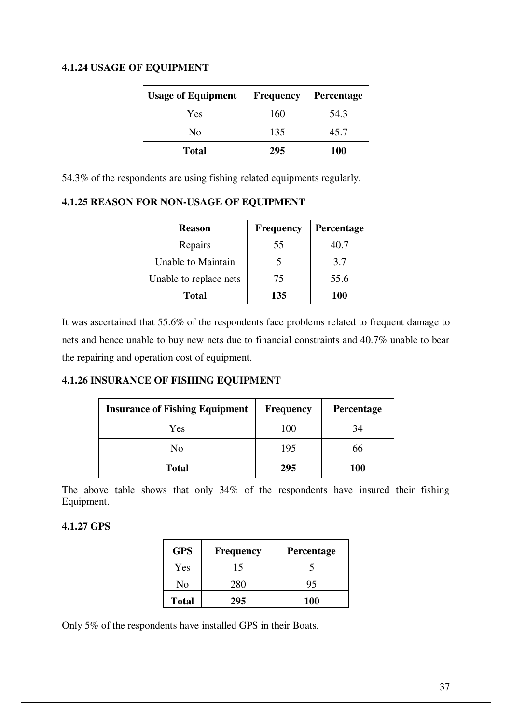## **4.1.24 USAGE OF EQUIPMENT**

| <b>Usage of Equipment</b> | <b>Frequency</b> | <b>Percentage</b> |
|---------------------------|------------------|-------------------|
| Yes                       | 160              | 54.3              |
| N <sub>0</sub>            | 135              | 45.7              |
| <b>Total</b>              | 295              | <b>100</b>        |

54.3% of the respondents are using fishing related equipments regularly.

#### **4.1.25 REASON FOR NON-USAGE OF EQUIPMENT**

| <b>Reason</b>          | <b>Frequency</b> | Percentage |
|------------------------|------------------|------------|
| Repairs                | 55               | 40.7       |
| Unable to Maintain     |                  | 3.7        |
| Unable to replace nets | 75               | 55.6       |
| Total                  | 135              | 100        |

It was ascertained that 55.6% of the respondents face problems related to frequent damage to nets and hence unable to buy new nets due to financial constraints and 40.7% unable to bear the repairing and operation cost of equipment.

## **4.1.26 INSURANCE OF FISHING EQUIPMENT**

| <b>Insurance of Fishing Equipment</b> | <b>Frequency</b> | <b>Percentage</b> |
|---------------------------------------|------------------|-------------------|
| Yes                                   | 100              | 34                |
| No                                    | 195              | 66                |
| <b>Total</b>                          | 295              | <b>100</b>        |

The above table shows that only 34% of the respondents have insured their fishing Equipment.

#### **4.1.27 GPS**

| <b>GPS</b>   | <b>Frequency</b> | <b>Percentage</b> |
|--------------|------------------|-------------------|
| Yes          | 15               |                   |
| No           | 280              | 95                |
| <b>Total</b> | 295              | <b>100</b>        |

Only 5% of the respondents have installed GPS in their Boats.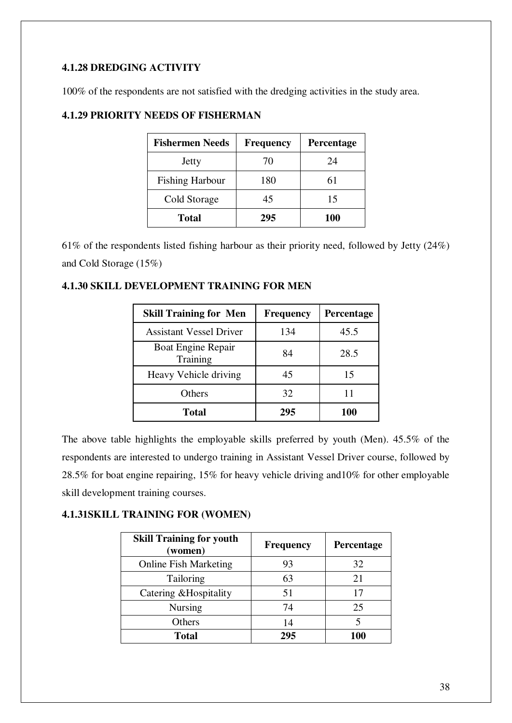# **4.1.28 DREDGING ACTIVITY**

100% of the respondents are not satisfied with the dredging activities in the study area.

| <b>Fishermen Needs</b> | <b>Frequency</b> | <b>Percentage</b> |
|------------------------|------------------|-------------------|
| Jetty                  | 70               | 24                |
| <b>Fishing Harbour</b> | 180              | 61                |
| Cold Storage           | 45               | 15                |
| <b>Total</b>           | 295              | <b>100</b>        |

# **4.1.29 PRIORITY NEEDS OF FISHERMAN**

61% of the respondents listed fishing harbour as their priority need, followed by Jetty (24%) and Cold Storage (15%)

# **4.1.30 SKILL DEVELOPMENT TRAINING FOR MEN**

| <b>Skill Training for Men</b>         | <b>Frequency</b> | Percentage |
|---------------------------------------|------------------|------------|
| <b>Assistant Vessel Driver</b>        | 134              | 45.5       |
| <b>Boat Engine Repair</b><br>Training | 84               | 28.5       |
| Heavy Vehicle driving                 | 45               | 15         |
| Others                                | 32               | 11         |
| Total                                 | 295              | 100        |

The above table highlights the employable skills preferred by youth (Men). 45.5% of the respondents are interested to undergo training in Assistant Vessel Driver course, followed by 28.5% for boat engine repairing, 15% for heavy vehicle driving and10% for other employable skill development training courses.

## **4.1.31SKILL TRAINING FOR (WOMEN)**

| <b>Skill Training for youth</b><br>(women) | <b>Frequency</b> | Percentage |
|--------------------------------------------|------------------|------------|
| <b>Online Fish Marketing</b>               | 93               | 32         |
| Tailoring                                  | 63               | 21         |
| Catering & Hospitality                     | 51               | 17         |
| <b>Nursing</b>                             | 74               | 25         |
| Others                                     | 14               |            |
| <b>Total</b>                               | 295              | 100        |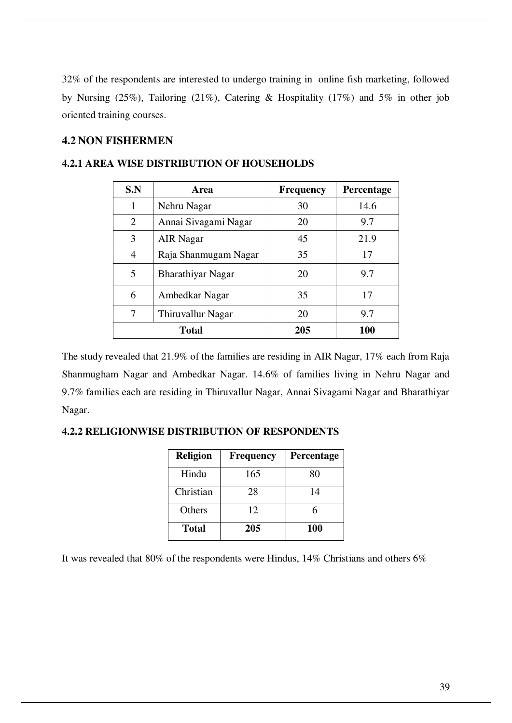32% of the respondents are interested to undergo training in online fish marketing, followed by Nursing (25%), Tailoring (21%), Catering & Hospitality (17%) and 5% in other job oriented training courses.

# **4.2 NON FISHERMEN**

| S.N            | Area                 | <b>Frequency</b> | Percentage |
|----------------|----------------------|------------------|------------|
|                | Nehru Nagar          | 30               | 14.6       |
| $\overline{2}$ | Annai Sivagami Nagar | 20               | 9.7        |
| 3              | <b>AIR</b> Nagar     | 45               | 21.9       |
| 4              | Raja Shanmugam Nagar | 35               | 17         |
| 5              | Bharathiyar Nagar    | 20               | 9.7        |
| 6              | Ambedkar Nagar       | 35               | 17         |
|                | Thiruvallur Nagar    | 20               | 9.7        |
|                | <b>Total</b>         | 205              | 100        |

#### **4.2.1 AREA WISE DISTRIBUTION OF HOUSEHOLDS**

The study revealed that 21.9% of the families are residing in AIR Nagar, 17% each from Raja Shanmugham Nagar and Ambedkar Nagar. 14.6% of families living in Nehru Nagar and 9.7% families each are residing in Thiruvallur Nagar, Annai Sivagami Nagar and Bharathiyar Nagar.

| <b>Religion</b> | <b>Frequency</b> | Percentage |
|-----------------|------------------|------------|
| Hindu           | 165              | 80         |
| Christian       | 28               | 14         |
| Others          | 12               | 6          |
| <b>Total</b>    | 205              | 100        |

#### **4.2.2 RELIGIONWISE DISTRIBUTION OF RESPONDENTS**

It was revealed that 80% of the respondents were Hindus, 14% Christians and others 6%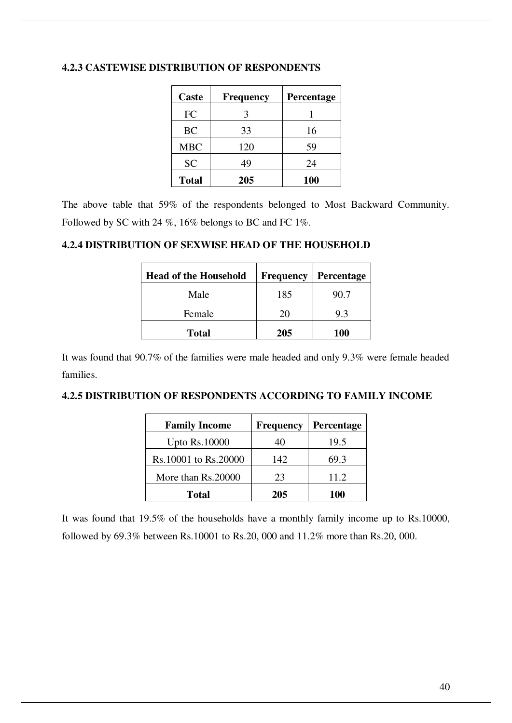| Caste        | Frequency | Percentage |
|--------------|-----------|------------|
| FC           |           |            |
| <b>BC</b>    | 33        | 16         |
| <b>MBC</b>   | 120       | 59         |
| <b>SC</b>    | 49        | 24         |
| <b>Total</b> | 205       | 100        |

### **4.2.3 CASTEWISE DISTRIBUTION OF RESPONDENTS**

The above table that 59% of the respondents belonged to Most Backward Community. Followed by SC with 24 %, 16% belongs to BC and FC 1%.

#### **4.2.4 DISTRIBUTION OF SEXWISE HEAD OF THE HOUSEHOLD**

| <b>Head of the Household</b> | <b>Frequency</b> | <b>Percentage</b> |
|------------------------------|------------------|-------------------|
| Male                         | 185              | 90.7              |
| Female                       | 20               | 9.3               |
| <b>Total</b>                 | 205              | <b>100</b>        |

It was found that 90.7% of the families were male headed and only 9.3% were female headed families.

### **4.2.5 DISTRIBUTION OF RESPONDENTS ACCORDING TO FAMILY INCOME**

| <b>Family Income</b> | <b>Frequency</b> | <b>Percentage</b> |
|----------------------|------------------|-------------------|
| <b>Upto Rs.10000</b> | 40               | 19.5              |
| Rs.10001 to Rs.20000 | 142              | 69.3              |
| More than Rs.20000   | 23               | 11.2              |
| <b>Total</b>         | 205              | 100               |

It was found that 19.5% of the households have a monthly family income up to Rs.10000, followed by 69.3% between Rs.10001 to Rs.20, 000 and 11.2% more than Rs.20, 000.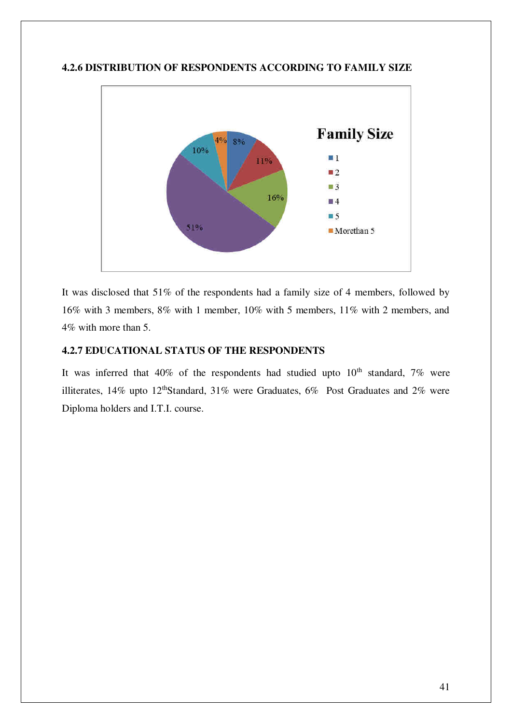

#### **4.2.6 DISTRIBUTION OF RESPONDENTS ACCORDING TO FAMILY SIZE**

It was disclosed that 51% of the respondents had a family size of 4 members, followed by 16% with 3 members, 8% with 1 member, 10% with 5 members, 11% with 2 members, and 4% with more than 5.

#### **4.2.7 EDUCATIONAL STATUS OF THE RESPONDENTS**

It was inferred that  $40\%$  of the respondents had studied upto  $10<sup>th</sup>$  standard, 7% were illiterates, 14% upto 12<sup>th</sup>Standard, 31% were Graduates, 6% Post Graduates and 2% were Diploma holders and I.T.I. course.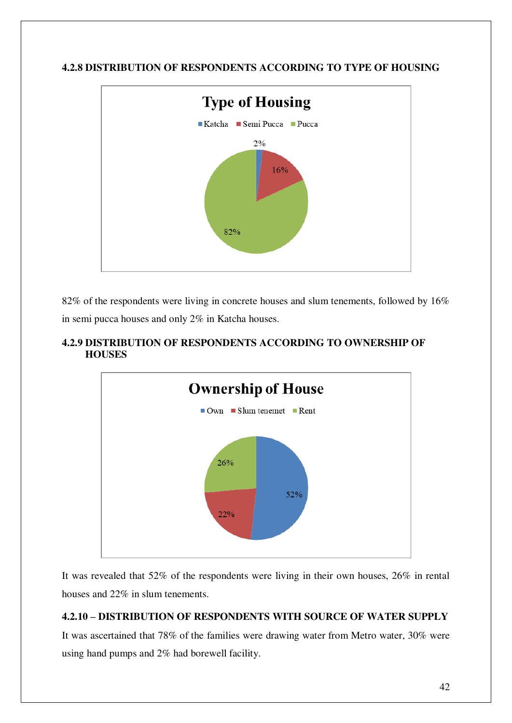# **4.2.8 DISTRIBUTION OF RESPONDENTS ACCORDING TO TYPE OF HOUSING**



82% of the respondents were living in concrete houses and slum tenements, followed by 16% in semi pucca houses and only 2% in Katcha houses.

# **4.2.9 DISTRIBUTION OF RESPONDENTS ACCORDING TO OWNERSHIP OF HOUSES**



It was revealed that 52% of the respondents were living in their own houses, 26% in rental houses and 22% in slum tenements.

# **4.2.10 – DISTRIBUTION OF RESPONDENTS WITH SOURCE OF WATER SUPPLY**

It was ascertained that 78% of the families were drawing water from Metro water, 30% were using hand pumps and 2% had borewell facility.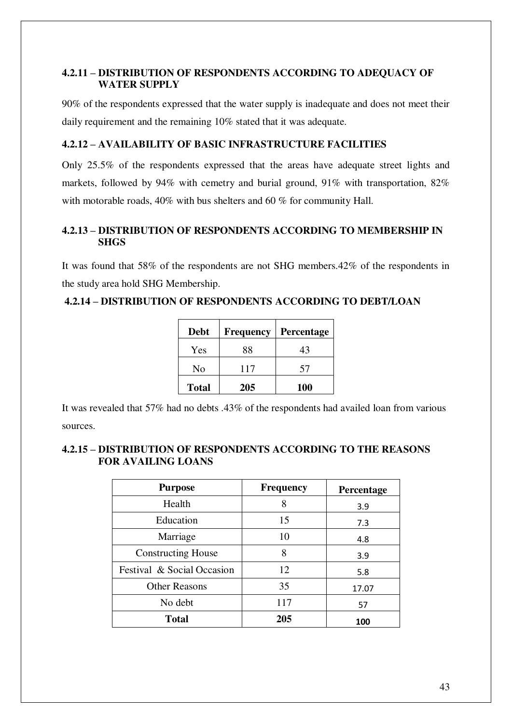# **4.2.11 – DISTRIBUTION OF RESPONDENTS ACCORDING TO ADEQUACY OF WATER SUPPLY**

90% of the respondents expressed that the water supply is inadequate and does not meet their daily requirement and the remaining 10% stated that it was adequate.

## **4.2.12 – AVAILABILITY OF BASIC INFRASTRUCTURE FACILITIES**

Only 25.5% of the respondents expressed that the areas have adequate street lights and markets, followed by 94% with cemetry and burial ground, 91% with transportation, 82% with motorable roads, 40% with bus shelters and 60 % for community Hall.

# **4.2.13 – DISTRIBUTION OF RESPONDENTS ACCORDING TO MEMBERSHIP IN SHGS**

It was found that 58% of the respondents are not SHG members.42% of the respondents in the study area hold SHG Membership.

# **4.2.14 – DISTRIBUTION OF RESPONDENTS ACCORDING TO DEBT/LOAN**

| <b>Debt</b>  | <b>Frequency</b> | <b>Percentage</b> |
|--------------|------------------|-------------------|
| Yes          | 88               | 43                |
| No           | 117              | 57                |
| <b>Total</b> | 205              | 100               |

It was revealed that 57% had no debts .43% of the respondents had availed loan from various sources.

## **4.2.15 – DISTRIBUTION OF RESPONDENTS ACCORDING TO THE REASONS FOR AVAILING LOANS**

| <b>Purpose</b>             | <b>Frequency</b> | Percentage |
|----------------------------|------------------|------------|
| Health                     | 8                | 3.9        |
| Education                  | 15               | 7.3        |
| Marriage                   | 10               | 4.8        |
| <b>Constructing House</b>  | 8                | 3.9        |
| Festival & Social Occasion | 12               | 5.8        |
| <b>Other Reasons</b>       | 35               | 17.07      |
| No debt                    | 117              | 57         |
| <b>Total</b>               | 205              | 100        |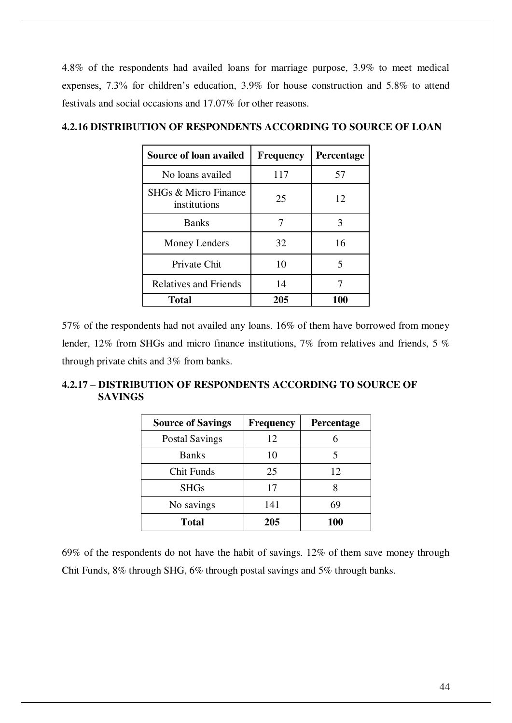4.8% of the respondents had availed loans for marriage purpose, 3.9% to meet medical expenses, 7.3% for children's education, 3.9% for house construction and 5.8% to attend festivals and social occasions and 17.07% for other reasons.

| Source of loan availed               | <b>Frequency</b> | <b>Percentage</b> |
|--------------------------------------|------------------|-------------------|
| No loans availed                     | 117              | 57                |
| SHGs & Micro Finance<br>institutions | 25               | 12                |
| <b>Banks</b>                         | 7                | 3                 |
| Money Lenders                        | 32               | 16                |
| Private Chit                         | 10               | 5                 |
| <b>Relatives and Friends</b>         | 14               |                   |
| <b>Total</b>                         | 205              | 100               |

## **4.2.16 DISTRIBUTION OF RESPONDENTS ACCORDING TO SOURCE OF LOAN**

57% of the respondents had not availed any loans. 16% of them have borrowed from money lender, 12% from SHGs and micro finance institutions, 7% from relatives and friends, 5 % through private chits and 3% from banks.

# **4.2.17 – DISTRIBUTION OF RESPONDENTS ACCORDING TO SOURCE OF SAVINGS**

| <b>Source of Savings</b> | <b>Frequency</b> | Percentage |
|--------------------------|------------------|------------|
| <b>Postal Savings</b>    | 12               |            |
| <b>Banks</b>             | 10               |            |
| Chit Funds               | 25               | 12         |
| <b>SHGs</b>              | 17               |            |
| No savings               | 141              | 69         |
| <b>Total</b>             | 205              | <b>100</b> |

69% of the respondents do not have the habit of savings. 12% of them save money through Chit Funds, 8% through SHG, 6% through postal savings and 5% through banks.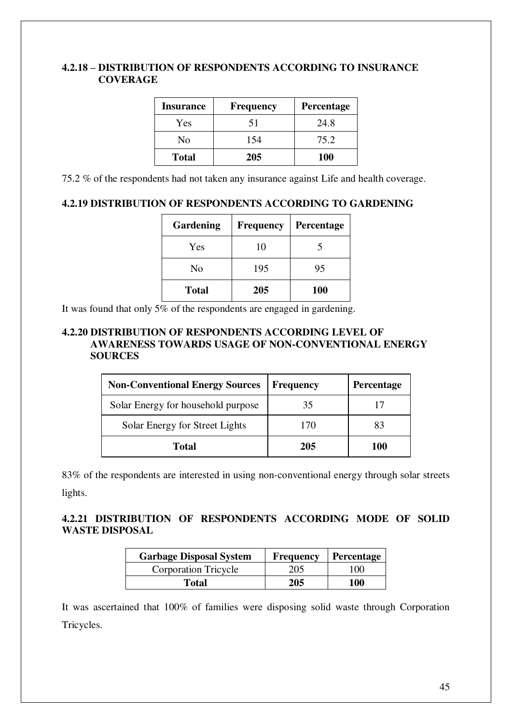#### **4.2.18 – DISTRIBUTION OF RESPONDENTS ACCORDING TO INSURANCE COVERAGE**

| <b>Insurance</b> | <b>Frequency</b> | <b>Percentage</b> |
|------------------|------------------|-------------------|
| Yes              | 51               | 24.8              |
| No               | 154              | 75.2              |
| <b>Total</b>     | 205              | <b>100</b>        |

75.2 % of the respondents had not taken any insurance against Life and health coverage.

# **4.2.19 DISTRIBUTION OF RESPONDENTS ACCORDING TO GARDENING**

| Gardening    | <b>Frequency</b> | <b>Percentage</b> |
|--------------|------------------|-------------------|
| Yes          | 10               |                   |
| No           | 195              | 95                |
| <b>Total</b> | 205              | <b>100</b>        |

It was found that only  $5\%$  of the respondents are engaged in gardening.

#### **4.2.20 DISTRIBUTION OF RESPONDENTS ACCORDING LEVEL OF AWARENESS TOWARDS USAGE OF NON-CONVENTIONAL ENERGY SOURCES**

| <b>Non-Conventional Energy Sources</b> | <b>Frequency</b> | <b>Percentage</b> |
|----------------------------------------|------------------|-------------------|
| Solar Energy for household purpose     | 35               |                   |
| Solar Energy for Street Lights         | 170              | 83                |
| Total                                  | 205              | 100               |

83% of the respondents are interested in using non-conventional energy through solar streets lights.

## **4.2.21 DISTRIBUTION OF RESPONDENTS ACCORDING MODE OF SOLID WASTE DISPOSAL**

| <b>Garbage Disposal System</b> | Frequency | <b>Percentage</b> |
|--------------------------------|-----------|-------------------|
| <b>Corporation Tricycle</b>    | 205       | 100               |
| <b>Total</b>                   | 205       | 100               |

It was ascertained that 100% of families were disposing solid waste through Corporation Tricycles.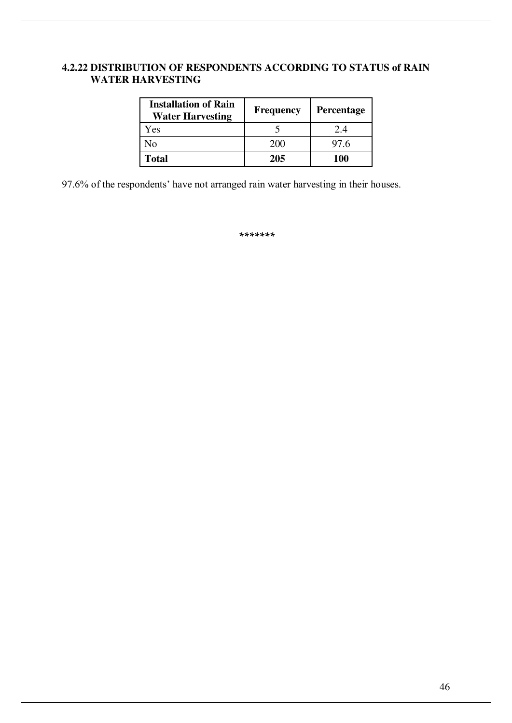# **4.2.22 DISTRIBUTION OF RESPONDENTS ACCORDING TO STATUS of RAIN WATER HARVESTING**

| <b>Installation of Rain</b><br><b>Water Harvesting</b> | <b>Frequency</b> | <b>Percentage</b> |
|--------------------------------------------------------|------------------|-------------------|
| Yes                                                    |                  | 2.4               |
| No                                                     | 200              | 97.6              |
| <b>Total</b>                                           | 205              | 100               |

97.6% of the respondents' have not arranged rain water harvesting in their houses.

*\*\*\*\*\*\*\**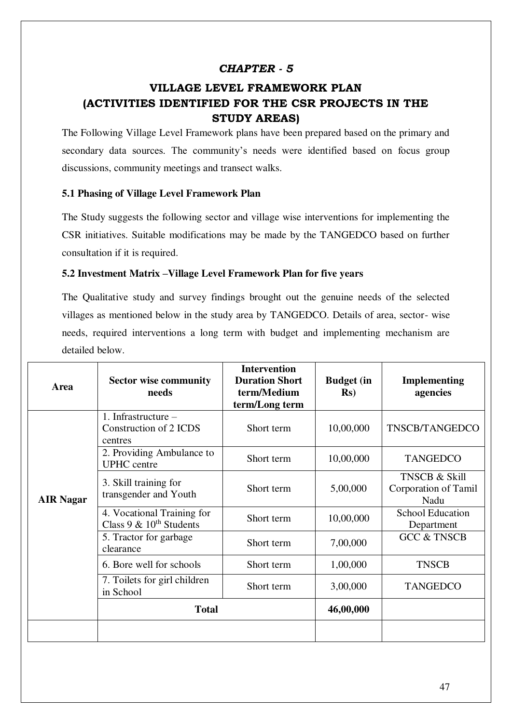# *CHAPTER - 5*

# **VILLAGE LEVEL FRAMEWORK PLAN (ACTIVITIES IDENTIFIED FOR THE CSR PROJECTS IN THE STUDY AREAS)**

The Following Village Level Framework plans have been prepared based on the primary and secondary data sources. The community's needs were identified based on focus group discussions, community meetings and transect walks.

#### **5.1 Phasing of Village Level Framework Plan**

The Study suggests the following sector and village wise interventions for implementing the CSR initiatives. Suitable modifications may be made by the TANGEDCO based on further consultation if it is required.

#### **5.2 Investment Matrix –Village Level Framework Plan for five years**

The Qualitative study and survey findings brought out the genuine needs of the selected villages as mentioned below in the study area by TANGEDCO. Details of area, sector- wise needs, required interventions a long term with budget and implementing mechanism are detailed below.

| Area             | <b>Sector wise community</b><br>needs                      | <b>Intervention</b><br><b>Duration Short</b><br>term/Medium<br>term/Long term | <b>Budget</b> (in<br>$\mathbf{R}s$ | <b>Implementing</b><br>agencies                          |
|------------------|------------------------------------------------------------|-------------------------------------------------------------------------------|------------------------------------|----------------------------------------------------------|
|                  | 1. Infrastructure $-$<br>Construction of 2 ICDS<br>centres | Short term                                                                    | 10,00,000                          | TNSCB/TANGEDCO                                           |
|                  | 2. Providing Ambulance to<br><b>UPHC</b> centre            | Short term                                                                    | 10,00,000                          | <b>TANGEDCO</b>                                          |
| <b>AIR Nagar</b> | 3. Skill training for<br>transgender and Youth             | Short term                                                                    | 5,00,000                           | <b>TNSCB &amp; Skill</b><br>Corporation of Tamil<br>Nadu |
|                  | 4. Vocational Training for<br>Class 9 & $10^{th}$ Students | Short term                                                                    | 10,00,000                          | <b>School Education</b><br>Department                    |
|                  | 5. Tractor for garbage<br>clearance                        | Short term                                                                    | 7,00,000                           | <b>GCC &amp; TNSCB</b>                                   |
|                  | 6. Bore well for schools                                   | Short term                                                                    | 1,00,000                           | <b>TNSCB</b>                                             |
|                  | 7. Toilets for girl children<br>in School                  | Short term                                                                    | 3,00,000                           | <b>TANGEDCO</b>                                          |
|                  | <b>Total</b>                                               |                                                                               | 46,00,000                          |                                                          |
|                  |                                                            |                                                                               |                                    |                                                          |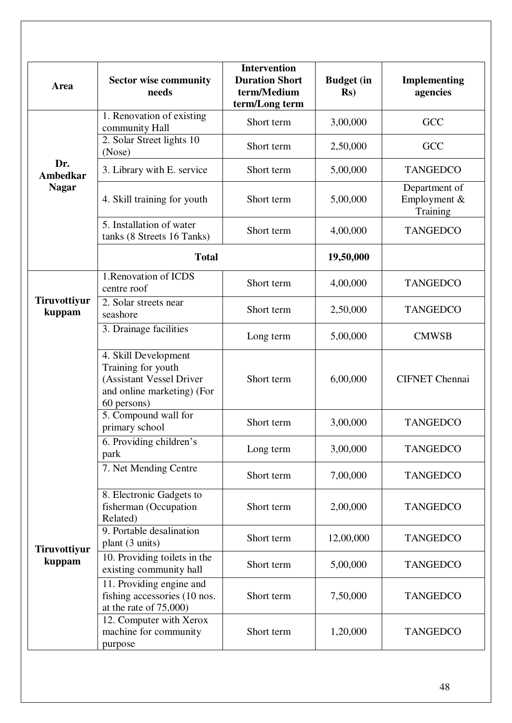| Area                          | <b>Sector wise community</b><br>needs                                                                               | <b>Intervention</b><br><b>Duration Short</b><br>term/Medium<br>term/Long term | <b>Budget</b> (in<br>$\mathbf{Rs}$ | Implementing<br>agencies                  |
|-------------------------------|---------------------------------------------------------------------------------------------------------------------|-------------------------------------------------------------------------------|------------------------------------|-------------------------------------------|
|                               | 1. Renovation of existing<br>community Hall                                                                         | Short term                                                                    | 3,00,000                           | <b>GCC</b>                                |
|                               | 2. Solar Street lights 10<br>(Nose)                                                                                 | Short term                                                                    | 2,50,000                           | GCC                                       |
| Dr.<br>Ambedkar               | 3. Library with E. service                                                                                          | Short term                                                                    | 5,00,000                           | <b>TANGEDCO</b>                           |
| <b>Nagar</b>                  | 4. Skill training for youth                                                                                         | Short term                                                                    | 5,00,000                           | Department of<br>Employment &<br>Training |
|                               | 5. Installation of water<br>tanks (8 Streets 16 Tanks)                                                              | Short term                                                                    | 4,00,000                           | <b>TANGEDCO</b>                           |
|                               | <b>Total</b>                                                                                                        |                                                                               | 19,50,000                          |                                           |
|                               | 1. Renovation of ICDS<br>centre roof                                                                                | Short term                                                                    | 4,00,000                           | <b>TANGEDCO</b>                           |
| <b>Tiruvottiyur</b><br>kuppam | 2. Solar streets near<br>seashore                                                                                   | Short term                                                                    | 2,50,000                           | <b>TANGEDCO</b>                           |
|                               | 3. Drainage facilities                                                                                              | Long term                                                                     | 5,00,000                           | <b>CMWSB</b>                              |
|                               | 4. Skill Development<br>Training for youth<br>(Assistant Vessel Driver<br>and online marketing) (For<br>60 persons) | Short term                                                                    | 6,00,000                           | <b>CIFNET</b> Chennai                     |
|                               | 5. Compound wall for<br>primary school                                                                              | Short term                                                                    | 3,00,000                           | <b>TANGEDCO</b>                           |
|                               | 6. Providing children's<br>park                                                                                     | Long term                                                                     | 3,00,000                           | <b>TANGEDCO</b>                           |
|                               | 7. Net Mending Centre                                                                                               | Short term                                                                    | 7,00,000                           | <b>TANGEDCO</b>                           |
|                               | 8. Electronic Gadgets to<br>fisherman (Occupation<br>Related)                                                       | Short term                                                                    | 2,00,000                           | <b>TANGEDCO</b>                           |
| Tiruvottiyur<br>kuppam        | 9. Portable desalination<br>plant (3 units)                                                                         | Short term                                                                    | 12,00,000                          | <b>TANGEDCO</b>                           |
|                               | 10. Providing toilets in the<br>existing community hall                                                             | Short term                                                                    | 5,00,000                           | <b>TANGEDCO</b>                           |
|                               | 11. Providing engine and<br>fishing accessories (10 nos.<br>at the rate of $75,000$                                 | Short term                                                                    | 7,50,000                           | <b>TANGEDCO</b>                           |
|                               | 12. Computer with Xerox<br>machine for community<br>purpose                                                         | Short term                                                                    | 1,20,000                           | <b>TANGEDCO</b>                           |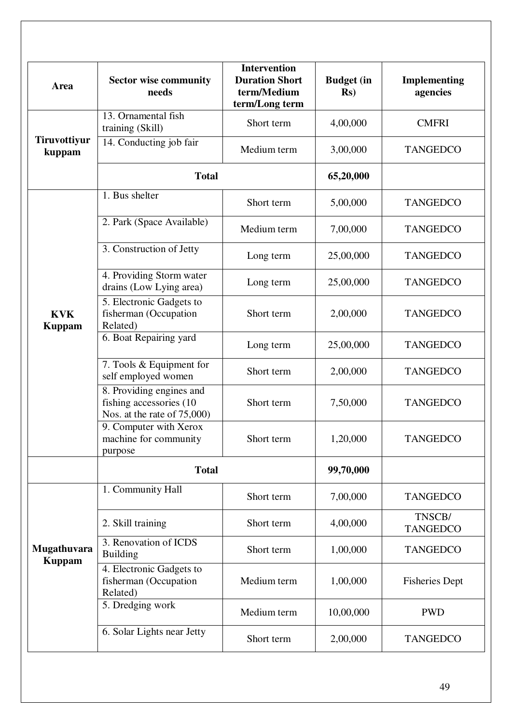| Area                          | <b>Sector wise community</b><br>needs                                               | <b>Intervention</b><br><b>Duration Short</b><br>term/Medium<br>term/Long term | <b>Budget</b> (in<br>$\mathbf{Rs}$ | <b>Implementing</b><br>agencies |
|-------------------------------|-------------------------------------------------------------------------------------|-------------------------------------------------------------------------------|------------------------------------|---------------------------------|
|                               | 13. Ornamental fish<br>training (Skill)                                             | Short term                                                                    | 4,00,000                           | <b>CMFRI</b>                    |
| <b>Tiruvottiyur</b><br>kuppam | 14. Conducting job fair                                                             | Medium term                                                                   | 3,00,000                           | <b>TANGEDCO</b>                 |
|                               | <b>Total</b>                                                                        |                                                                               | 65,20,000                          |                                 |
|                               | 1. Bus shelter                                                                      | Short term                                                                    | 5,00,000                           | <b>TANGEDCO</b>                 |
|                               | 2. Park (Space Available)                                                           | Medium term                                                                   | 7,00,000                           | <b>TANGEDCO</b>                 |
|                               | 3. Construction of Jetty                                                            | Long term                                                                     | 25,00,000                          | <b>TANGEDCO</b>                 |
|                               | 4. Providing Storm water<br>drains (Low Lying area)                                 | Long term                                                                     | 25,00,000                          | <b>TANGEDCO</b>                 |
| <b>KVK</b><br><b>Kuppam</b>   | 5. Electronic Gadgets to<br>fisherman (Occupation<br>Related)                       | Short term                                                                    | 2,00,000                           | <b>TANGEDCO</b>                 |
|                               | 6. Boat Repairing yard                                                              | Long term                                                                     | 25,00,000                          | <b>TANGEDCO</b>                 |
|                               | 7. Tools & Equipment for<br>self employed women                                     | Short term                                                                    | 2,00,000                           | <b>TANGEDCO</b>                 |
|                               | 8. Providing engines and<br>fishing accessories (10<br>Nos. at the rate of $75,000$ | Short term                                                                    | 7,50,000                           | <b>TANGEDCO</b>                 |
|                               | 9. Computer with Xerox<br>machine for community<br>purpose                          | Short term                                                                    | 1,20,000                           | <b>TANGEDCO</b>                 |
|                               | <b>Total</b>                                                                        |                                                                               | 99,70,000                          |                                 |
|                               | 1. Community Hall                                                                   | Short term                                                                    | 7,00,000                           | <b>TANGEDCO</b>                 |
| Mugathuvara<br><b>Kuppam</b>  | 2. Skill training                                                                   | Short term                                                                    | 4,00,000                           | TNSCB/<br><b>TANGEDCO</b>       |
|                               | 3. Renovation of ICDS<br><b>Building</b>                                            | Short term                                                                    | 1,00,000                           | <b>TANGEDCO</b>                 |
|                               | 4. Electronic Gadgets to<br>fisherman (Occupation<br>Related)                       | Medium term                                                                   | 1,00,000                           | <b>Fisheries Dept</b>           |
|                               | 5. Dredging work                                                                    | Medium term                                                                   | 10,00,000                          | <b>PWD</b>                      |
|                               | 6. Solar Lights near Jetty                                                          | Short term                                                                    | 2,00,000                           | <b>TANGEDCO</b>                 |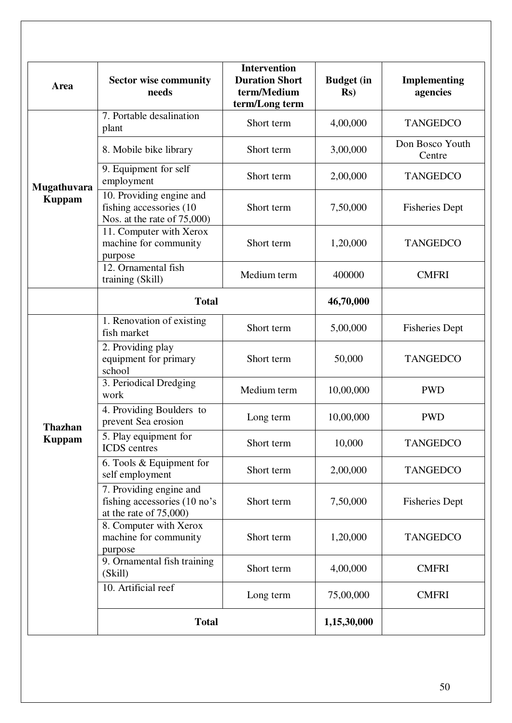| Area           | <b>Sector wise community</b><br>needs                                              | <b>Intervention</b><br><b>Duration Short</b><br>term/Medium<br>term/Long term | <b>Budget</b> (in<br>$\mathbf{Rs}$ | <b>Implementing</b><br>agencies |
|----------------|------------------------------------------------------------------------------------|-------------------------------------------------------------------------------|------------------------------------|---------------------------------|
|                | 7. Portable desalination<br>plant                                                  | Short term                                                                    | 4,00,000                           | <b>TANGEDCO</b>                 |
|                | 8. Mobile bike library                                                             | Short term                                                                    | 3,00,000                           | Don Bosco Youth<br>Centre       |
| Mugathuvara    | 9. Equipment for self<br>employment                                                | Short term                                                                    | 2,00,000                           | <b>TANGEDCO</b>                 |
| <b>Kuppam</b>  | 10. Providing engine and<br>fishing accessories (10<br>Nos. at the rate of 75,000) | Short term                                                                    | 7,50,000                           | <b>Fisheries Dept</b>           |
|                | 11. Computer with Xerox<br>machine for community<br>purpose                        | Short term                                                                    | 1,20,000                           | <b>TANGEDCO</b>                 |
|                | 12. Ornamental fish<br>training (Skill)                                            | Medium term                                                                   | 400000                             | <b>CMFRI</b>                    |
|                | <b>Total</b>                                                                       |                                                                               | 46,70,000                          |                                 |
|                | 1. Renovation of existing<br>fish market                                           | Short term                                                                    | 5,00,000                           | <b>Fisheries Dept</b>           |
|                | 2. Providing play<br>equipment for primary<br>school                               | Short term                                                                    | 50,000                             | <b>TANGEDCO</b>                 |
|                | 3. Periodical Dredging<br>work                                                     | Medium term                                                                   | 10,00,000                          | <b>PWD</b>                      |
| <b>Thazhan</b> | 4. Providing Boulders to<br>prevent Sea erosion                                    | Long term                                                                     | 10,00,000                          | <b>PWD</b>                      |
| <b>Kuppam</b>  | 5. Play equipment for<br><b>ICDS</b> centres                                       | Short term                                                                    | 10,000                             | <b>TANGEDCO</b>                 |
|                | 6. Tools $&$ Equipment for<br>self employment                                      | Short term                                                                    | 2,00,000                           | <b>TANGEDCO</b>                 |
|                | 7. Providing engine and<br>fishing accessories (10 no's<br>at the rate of $75,000$ | Short term                                                                    | 7,50,000                           | <b>Fisheries Dept</b>           |
|                | 8. Computer with Xerox<br>machine for community<br>purpose                         | Short term                                                                    | 1,20,000                           | <b>TANGEDCO</b>                 |
|                | 9. Ornamental fish training<br>(Skill)                                             | Short term                                                                    | 4,00,000                           | <b>CMFRI</b>                    |
|                | 10. Artificial reef                                                                | Long term                                                                     | 75,00,000                          | <b>CMFRI</b>                    |
|                | <b>Total</b>                                                                       |                                                                               | 1,15,30,000                        |                                 |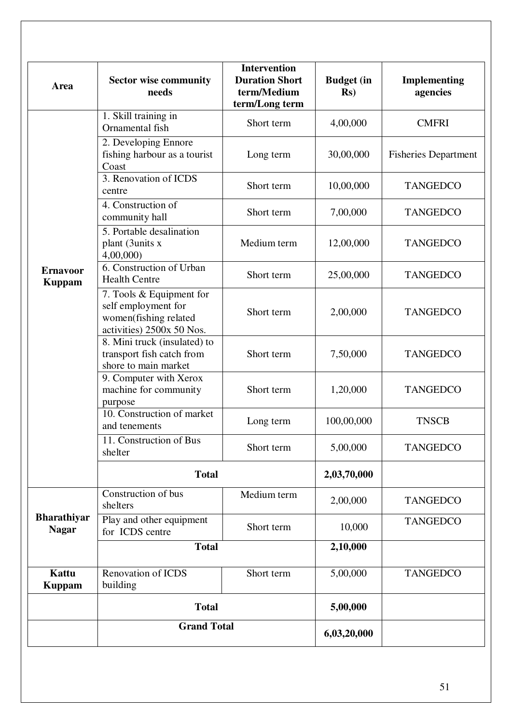| Area                               | <b>Sector wise community</b><br>needs                                                                 | <b>Intervention</b><br><b>Duration Short</b><br>term/Medium<br>term/Long term | <b>Budget</b> (in<br>$\mathbf{Rs}$ | Implementing<br>agencies    |
|------------------------------------|-------------------------------------------------------------------------------------------------------|-------------------------------------------------------------------------------|------------------------------------|-----------------------------|
|                                    | 1. Skill training in<br>Ornamental fish                                                               | Short term                                                                    | 4,00,000                           | <b>CMFRI</b>                |
|                                    | 2. Developing Ennore<br>fishing harbour as a tourist<br>Coast                                         | Long term                                                                     | 30,00,000                          | <b>Fisheries Department</b> |
|                                    | 3. Renovation of ICDS<br>centre                                                                       | Short term                                                                    | 10,00,000                          | <b>TANGEDCO</b>             |
|                                    | 4. Construction of<br>community hall                                                                  | Short term                                                                    | 7,00,000                           | <b>TANGEDCO</b>             |
|                                    | $\overline{5}$ . Portable desalination<br>plant (3units x<br>4,00,000                                 | Medium term                                                                   | 12,00,000                          | <b>TANGEDCO</b>             |
| <b>Ernavoor</b><br><b>Kuppam</b>   | 6. Construction of Urban<br><b>Health Centre</b>                                                      | Short term                                                                    | 25,00,000                          | <b>TANGEDCO</b>             |
|                                    | 7. Tools & Equipment for<br>self employment for<br>women(fishing related<br>activities) 2500x 50 Nos. | Short term                                                                    | 2,00,000                           | <b>TANGEDCO</b>             |
|                                    | 8. Mini truck (insulated) to<br>transport fish catch from<br>shore to main market                     | Short term                                                                    | 7,50,000                           | <b>TANGEDCO</b>             |
|                                    | 9. Computer with Xerox<br>machine for community<br>purpose                                            | Short term                                                                    | 1,20,000                           | <b>TANGEDCO</b>             |
|                                    | 10. Construction of market<br>and tenements                                                           | Long term                                                                     | 100,00,000                         | <b>TNSCB</b>                |
|                                    | 11. Construction of Bus<br>shelter                                                                    | Short term                                                                    | 5,00,000                           | <b>TANGEDCO</b>             |
|                                    | <b>Total</b>                                                                                          |                                                                               | 2,03,70,000                        |                             |
|                                    | Construction of bus<br>shelters                                                                       | Medium term                                                                   | 2,00,000                           | <b>TANGEDCO</b>             |
| <b>Bharathiyar</b><br><b>Nagar</b> | Play and other equipment<br>for ICDS centre                                                           | Short term                                                                    | 10,000                             | <b>TANGEDCO</b>             |
|                                    | <b>Total</b>                                                                                          |                                                                               | 2,10,000                           |                             |
| <b>Kattu</b><br><b>Kuppam</b>      | <b>Renovation of ICDS</b><br>building                                                                 | Short term                                                                    | 5,00,000                           | <b>TANGEDCO</b>             |
|                                    | <b>Total</b>                                                                                          |                                                                               | 5,00,000                           |                             |
|                                    | <b>Grand Total</b>                                                                                    |                                                                               | 6,03,20,000                        |                             |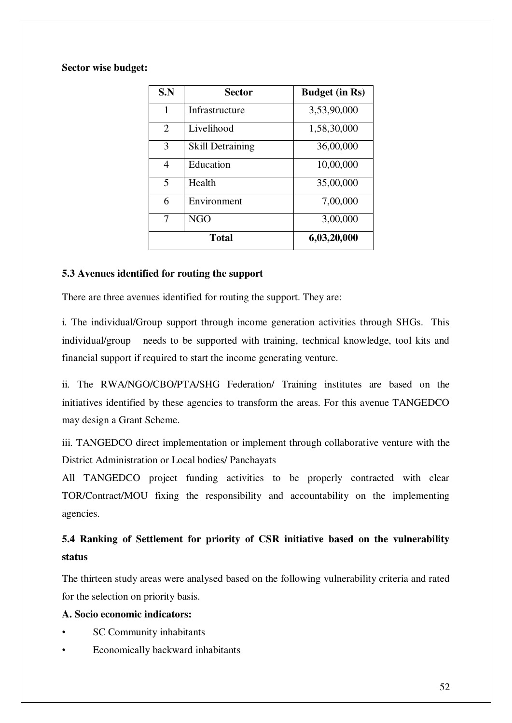#### **Sector wise budget:**

| S.N            | Sector                  | <b>Budget (in Rs)</b> |
|----------------|-------------------------|-----------------------|
| 1              | Infrastructure          | 3,53,90,000           |
| $\overline{2}$ | Livelihood              | 1,58,30,000           |
| 3              | <b>Skill Detraining</b> | 36,00,000             |
| $\overline{4}$ | Education               | 10,00,000             |
| 5              | Health                  | 35,00,000             |
| 6              | Environment             | 7,00,000              |
| 7              | <b>NGO</b>              | 3,00,000              |
|                | <b>Total</b>            | 6,03,20,000           |

#### **5.3 Avenues identified for routing the support**

There are three avenues identified for routing the support. They are:

i. The individual/Group support through income generation activities through SHGs. This individual/group needs to be supported with training, technical knowledge, tool kits and financial support if required to start the income generating venture.

ii. The RWA/NGO/CBO/PTA/SHG Federation/ Training institutes are based on the initiatives identified by these agencies to transform the areas. For this avenue TANGEDCO may design a Grant Scheme.

iii. TANGEDCO direct implementation or implement through collaborative venture with the District Administration or Local bodies/ Panchayats

All TANGEDCO project funding activities to be properly contracted with clear TOR/Contract/MOU fixing the responsibility and accountability on the implementing agencies.

# **5.4 Ranking of Settlement for priority of CSR initiative based on the vulnerability status**

The thirteen study areas were analysed based on the following vulnerability criteria and rated for the selection on priority basis.

## **A. Socio economic indicators:**

- SC Community inhabitants
- Economically backward inhabitants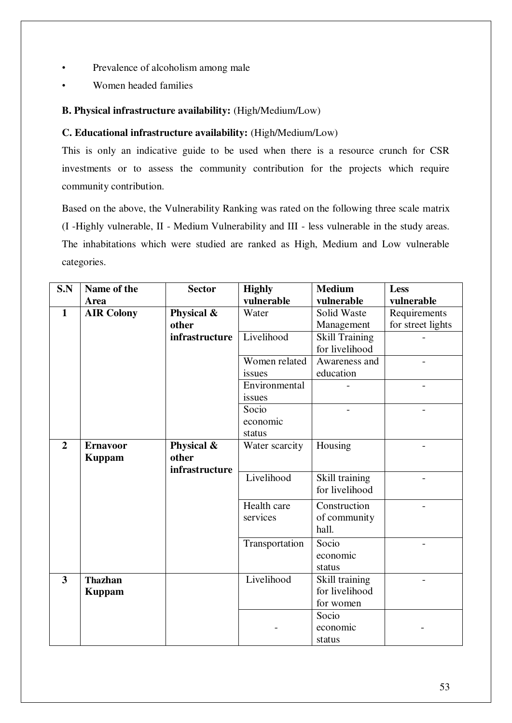- Prevalence of alcoholism among male
- Women headed families

# **B. Physical infrastructure availability:** (High/Medium/Low)

## **C. Educational infrastructure availability:** (High/Medium/Low)

This is only an indicative guide to be used when there is a resource crunch for CSR investments or to assess the community contribution for the projects which require community contribution.

Based on the above, the Vulnerability Ranking was rated on the following three scale matrix (I -Highly vulnerable, II - Medium Vulnerability and III - less vulnerable in the study areas. The inhabitations which were studied are ranked as High, Medium and Low vulnerable categories.

| S.N                     | Name of the       | <b>Sector</b>  | <b>Highly</b>  | <b>Medium</b>         | Less              |
|-------------------------|-------------------|----------------|----------------|-----------------------|-------------------|
|                         | Area              |                | vulnerable     | vulnerable            | vulnerable        |
| $\mathbf{1}$            | <b>AIR Colony</b> | Physical &     | Water          | Solid Waste           | Requirements      |
|                         |                   | other          |                | Management            | for street lights |
|                         |                   | infrastructure | Livelihood     | <b>Skill Training</b> |                   |
|                         |                   |                |                | for livelihood        |                   |
|                         |                   |                | Women related  | Awareness and         |                   |
|                         |                   |                | issues         | education             |                   |
|                         |                   |                | Environmental  |                       |                   |
|                         |                   |                | issues         |                       |                   |
|                         |                   |                | Socio          |                       |                   |
|                         |                   |                | economic       |                       |                   |
|                         |                   |                | status         |                       |                   |
| $\overline{2}$          | <b>Ernavoor</b>   | Physical &     | Water scarcity | Housing               |                   |
|                         | <b>Kuppam</b>     | other          |                |                       |                   |
|                         |                   | infrastructure |                |                       |                   |
|                         |                   |                | Livelihood     | Skill training        |                   |
|                         |                   |                |                | for livelihood        |                   |
|                         |                   |                | Health care    | Construction          |                   |
|                         |                   |                | services       | of community          |                   |
|                         |                   |                |                | hall.                 |                   |
|                         |                   |                | Transportation | Socio                 |                   |
|                         |                   |                |                | economic              |                   |
|                         |                   |                |                | status                |                   |
| $\overline{\mathbf{3}}$ | <b>Thazhan</b>    |                | Livelihood     | Skill training        |                   |
|                         | <b>Kuppam</b>     |                |                | for livelihood        |                   |
|                         |                   |                |                | for women             |                   |
|                         |                   |                |                | Socio                 |                   |
|                         |                   |                |                | economic              |                   |
|                         |                   |                |                | status                |                   |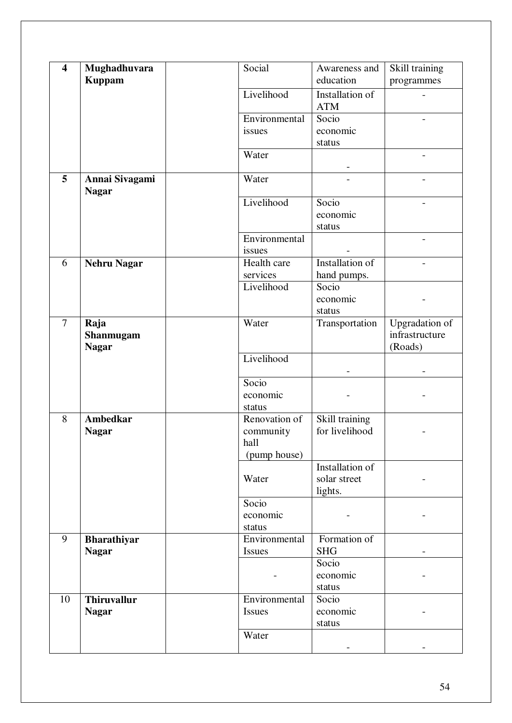| $\overline{\mathbf{4}}$ | Mughadhuvara       | Social        | Awareness and          | Skill training        |
|-------------------------|--------------------|---------------|------------------------|-----------------------|
|                         | <b>Kuppam</b>      |               | education              | programmes            |
|                         |                    | Livelihood    |                        |                       |
|                         |                    |               | Installation of        |                       |
|                         |                    |               | <b>ATM</b>             |                       |
|                         |                    | Environmental | Socio                  |                       |
|                         |                    | issues        | economic               |                       |
|                         |                    |               | status                 |                       |
|                         |                    | Water         |                        |                       |
|                         |                    |               |                        |                       |
|                         |                    |               |                        |                       |
| 5                       | Annai Sivagami     | Water         |                        |                       |
|                         | <b>Nagar</b>       |               |                        |                       |
|                         |                    | Livelihood    | Socio                  |                       |
|                         |                    |               | economic               |                       |
|                         |                    |               |                        |                       |
|                         |                    |               | status                 |                       |
|                         |                    | Environmental |                        |                       |
|                         |                    | issues        |                        |                       |
| 6                       | <b>Nehru Nagar</b> | Health care   | <b>Installation of</b> |                       |
|                         |                    | services      | hand pumps.            |                       |
|                         |                    | Livelihood    | Socio                  |                       |
|                         |                    |               |                        |                       |
|                         |                    |               | economic               |                       |
|                         |                    |               | status                 |                       |
| $\overline{7}$          | Raja               | Water         | Transportation         | <b>Upgradation</b> of |
|                         | Shanmugam          |               |                        | infrastructure        |
|                         |                    |               |                        | (Roads)               |
|                         | <b>Nagar</b>       |               |                        |                       |
|                         |                    | Livelihood    |                        |                       |
|                         |                    |               |                        |                       |
|                         |                    | Socio         |                        |                       |
|                         |                    | economic      |                        |                       |
|                         |                    | status        |                        |                       |
| 8                       | <b>Ambedkar</b>    | Renovation of | Skill training         |                       |
|                         |                    |               |                        |                       |
|                         | <b>Nagar</b>       | community     | for livelihood         |                       |
|                         |                    | hall          |                        |                       |
|                         |                    | (pump house)  |                        |                       |
|                         |                    |               | Installation of        |                       |
|                         |                    | Water         | solar street           |                       |
|                         |                    |               | lights.                |                       |
|                         |                    |               |                        |                       |
|                         |                    | Socio         |                        |                       |
|                         |                    | economic      |                        |                       |
|                         |                    | status        |                        |                       |
| 9                       | <b>Bharathiyar</b> | Environmental | Formation of           |                       |
|                         | <b>Nagar</b>       | Issues        | <b>SHG</b>             |                       |
|                         |                    |               | Socio                  |                       |
|                         |                    |               |                        |                       |
|                         |                    |               | economic               |                       |
|                         |                    |               | status                 |                       |
| 10                      | <b>Thiruvallur</b> | Environmental | Socio                  |                       |
|                         |                    |               |                        |                       |
|                         |                    |               |                        |                       |
|                         | <b>Nagar</b>       | Issues        | economic               |                       |
|                         |                    |               | status                 |                       |
|                         |                    | Water         |                        |                       |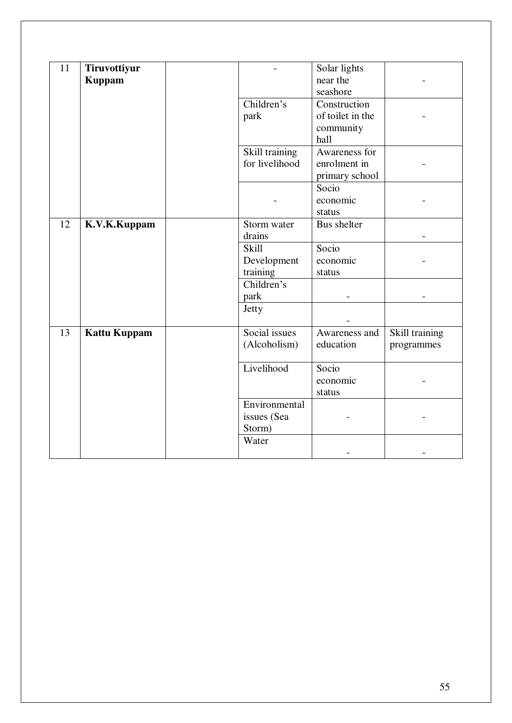| 11 | Tiruvottiyur<br><b>Kuppam</b> |                                        | Solar lights<br>near the<br>seashore                  |                              |
|----|-------------------------------|----------------------------------------|-------------------------------------------------------|------------------------------|
|    |                               | Children's<br>park                     | Construction<br>of toilet in the<br>community<br>hall |                              |
|    |                               | Skill training<br>for livelihood       | Awareness for<br>enrolment in<br>primary school       |                              |
|    |                               |                                        | Socio<br>economic<br>status                           |                              |
| 12 | K.V.K.Kuppam                  | Storm water<br>drains                  | <b>Bus</b> shelter                                    |                              |
|    |                               | Skill                                  | Socio                                                 |                              |
|    |                               | Development                            | economic                                              |                              |
|    |                               | training                               | status                                                |                              |
|    |                               | Children's                             |                                                       |                              |
|    |                               | park                                   |                                                       |                              |
|    |                               | Jetty                                  |                                                       |                              |
| 13 | <b>Kattu Kuppam</b>           | Social issues<br>(Alcoholism)          | Awareness and<br>education                            | Skill training<br>programmes |
|    |                               | Livelihood                             | Socio<br>economic<br>status                           |                              |
|    |                               | Environmental<br>issues (Sea<br>Storm) |                                                       |                              |
|    |                               | Water                                  |                                                       |                              |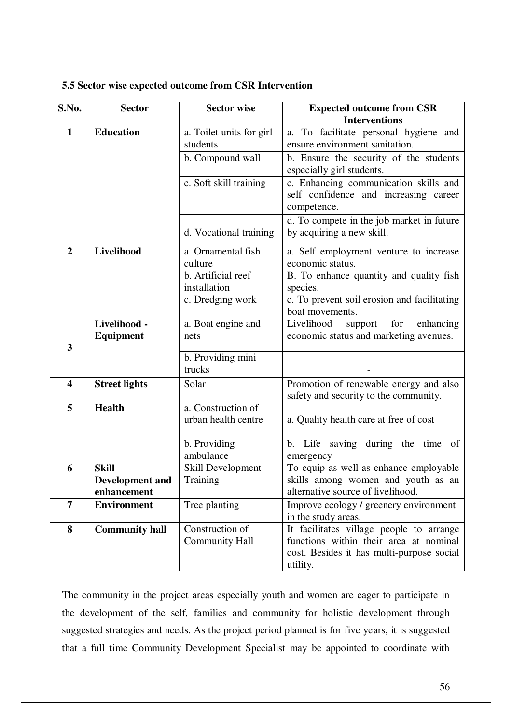| S.No.                   | <b>Sector</b>          | <b>Sector wise</b>            | <b>Expected outcome from CSR</b>                    |
|-------------------------|------------------------|-------------------------------|-----------------------------------------------------|
|                         |                        |                               | <b>Interventions</b>                                |
| $\mathbf{1}$            | <b>Education</b>       | a. Toilet units for girl      | a. To facilitate personal hygiene and               |
|                         |                        | students                      | ensure environment sanitation.                      |
|                         |                        | b. Compound wall              | b. Ensure the security of the students              |
|                         |                        |                               | especially girl students.                           |
|                         |                        | c. Soft skill training        | c. Enhancing communication skills and               |
|                         |                        |                               | self confidence and increasing career               |
|                         |                        |                               | competence.                                         |
|                         |                        |                               | d. To compete in the job market in future           |
|                         |                        | d. Vocational training        | by acquiring a new skill.                           |
| $\overline{2}$          | Livelihood             | a. Ornamental fish            | a. Self employment venture to increase              |
|                         |                        | culture                       | economic status.                                    |
|                         |                        | b. Artificial reef            | B. To enhance quantity and quality fish             |
|                         |                        | installation                  | species.                                            |
|                         |                        | c. Dredging work              | c. To prevent soil erosion and facilitating         |
|                         |                        |                               | boat movements.                                     |
|                         | Livelihood -           | a. Boat engine and            | Livelihood<br>for<br>enhancing<br>support           |
| 3                       | Equipment              | nets                          | economic status and marketing avenues.              |
|                         |                        | b. Providing mini             |                                                     |
|                         |                        | trucks                        |                                                     |
| $\overline{\mathbf{4}}$ | <b>Street lights</b>   | Solar                         | Promotion of renewable energy and also              |
|                         |                        |                               | safety and security to the community.               |
| 5                       | <b>Health</b>          | a. Construction of            |                                                     |
|                         |                        | urban health centre           | a. Quality health care at free of cost              |
|                         |                        |                               |                                                     |
|                         |                        | b. Providing                  | Life saving during the time<br>of<br>b.             |
| 6                       | <b>Skill</b>           | ambulance                     | emergency<br>To equip as well as enhance employable |
|                         | <b>Development and</b> | Skill Development<br>Training | skills among women and youth as an                  |
|                         | enhancement            |                               | alternative source of livelihood.                   |
| $\overline{7}$          | <b>Environment</b>     | Tree planting                 | Improve ecology / greenery environment              |
|                         |                        |                               | in the study areas.                                 |
| 8                       | <b>Community hall</b>  | Construction of               | It facilitates village people to arrange            |
|                         |                        | <b>Community Hall</b>         | functions within their area at nominal              |
|                         |                        |                               | cost. Besides it has multi-purpose social           |
|                         |                        |                               | utility.                                            |

#### **5.5 Sector wise expected outcome from CSR Intervention**

The community in the project areas especially youth and women are eager to participate in the development of the self, families and community for holistic development through suggested strategies and needs. As the project period planned is for five years, it is suggested that a full time Community Development Specialist may be appointed to coordinate with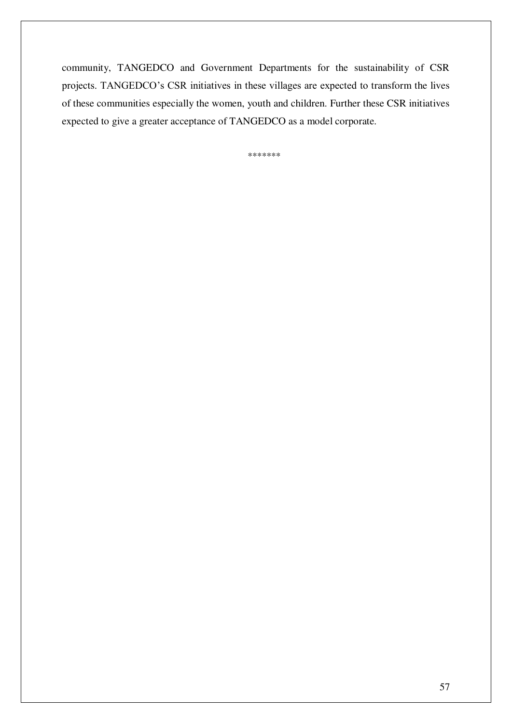community, TANGEDCO and Government Departments for the sustainability of CSR projects. TANGEDCO's CSR initiatives in these villages are expected to transform the lives of these communities especially the women, youth and children. Further these CSR initiatives expected to give a greater acceptance of TANGEDCO as a model corporate.

\*\*\*\*\*\*\*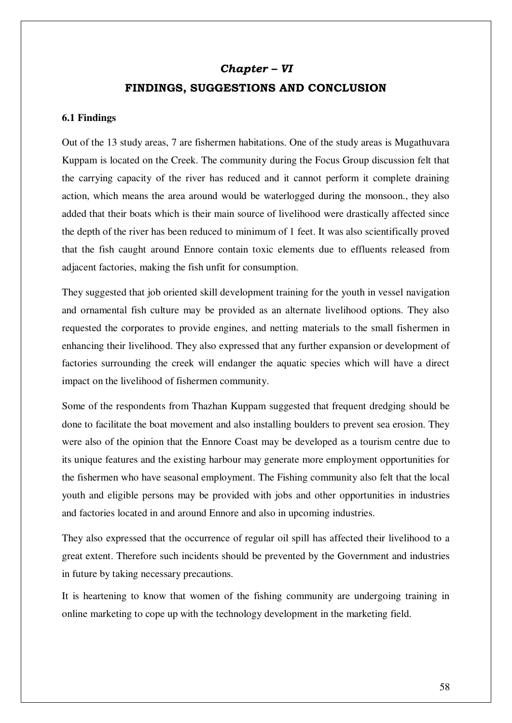# *Chapter – VI* **FINDINGS, SUGGESTIONS AND CONCLUSION**

#### **6.1 Findings**

Out of the 13 study areas, 7 are fishermen habitations. One of the study areas is Mugathuvara Kuppam is located on the Creek. The community during the Focus Group discussion felt that the carrying capacity of the river has reduced and it cannot perform it complete draining action, which means the area around would be waterlogged during the monsoon., they also added that their boats which is their main source of livelihood were drastically affected since the depth of the river has been reduced to minimum of 1 feet. It was also scientifically proved that the fish caught around Ennore contain toxic elements due to effluents released from adjacent factories, making the fish unfit for consumption.

They suggested that job oriented skill development training for the youth in vessel navigation and ornamental fish culture may be provided as an alternate livelihood options. They also requested the corporates to provide engines, and netting materials to the small fishermen in enhancing their livelihood. They also expressed that any further expansion or development of factories surrounding the creek will endanger the aquatic species which will have a direct impact on the livelihood of fishermen community.

Some of the respondents from Thazhan Kuppam suggested that frequent dredging should be done to facilitate the boat movement and also installing boulders to prevent sea erosion. They were also of the opinion that the Ennore Coast may be developed as a tourism centre due to its unique features and the existing harbour may generate more employment opportunities for the fishermen who have seasonal employment. The Fishing community also felt that the local youth and eligible persons may be provided with jobs and other opportunities in industries and factories located in and around Ennore and also in upcoming industries.

They also expressed that the occurrence of regular oil spill has affected their livelihood to a great extent. Therefore such incidents should be prevented by the Government and industries in future by taking necessary precautions.

It is heartening to know that women of the fishing community are undergoing training in online marketing to cope up with the technology development in the marketing field.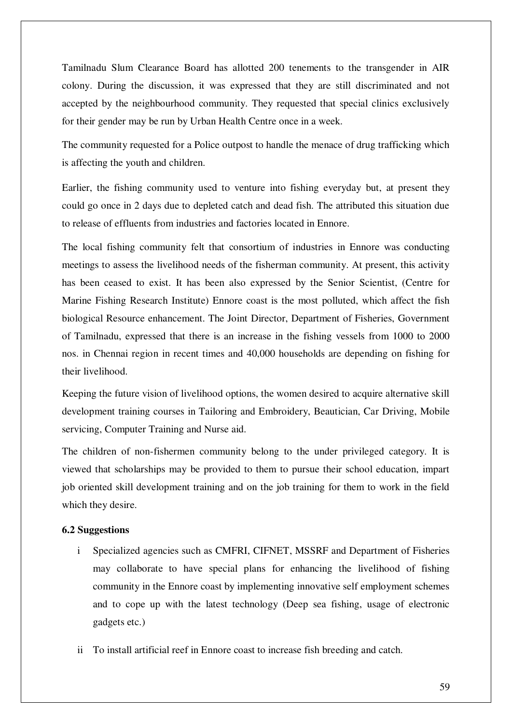Tamilnadu Slum Clearance Board has allotted 200 tenements to the transgender in AIR colony. During the discussion, it was expressed that they are still discriminated and not accepted by the neighbourhood community. They requested that special clinics exclusively for their gender may be run by Urban Health Centre once in a week.

The community requested for a Police outpost to handle the menace of drug trafficking which is affecting the youth and children.

Earlier, the fishing community used to venture into fishing everyday but, at present they could go once in 2 days due to depleted catch and dead fish. The attributed this situation due to release of effluents from industries and factories located in Ennore.

The local fishing community felt that consortium of industries in Ennore was conducting meetings to assess the livelihood needs of the fisherman community. At present, this activity has been ceased to exist. It has been also expressed by the Senior Scientist, (Centre for Marine Fishing Research Institute) Ennore coast is the most polluted, which affect the fish biological Resource enhancement. The Joint Director, Department of Fisheries, Government of Tamilnadu, expressed that there is an increase in the fishing vessels from 1000 to 2000 nos. in Chennai region in recent times and 40,000 households are depending on fishing for their livelihood.

Keeping the future vision of livelihood options, the women desired to acquire alternative skill development training courses in Tailoring and Embroidery, Beautician, Car Driving, Mobile servicing, Computer Training and Nurse aid.

The children of non-fishermen community belong to the under privileged category. It is viewed that scholarships may be provided to them to pursue their school education, impart job oriented skill development training and on the job training for them to work in the field which they desire.

#### **6.2 Suggestions**

- i Specialized agencies such as CMFRI, CIFNET, MSSRF and Department of Fisheries may collaborate to have special plans for enhancing the livelihood of fishing community in the Ennore coast by implementing innovative self employment schemes and to cope up with the latest technology (Deep sea fishing, usage of electronic gadgets etc.)
- ii To install artificial reef in Ennore coast to increase fish breeding and catch.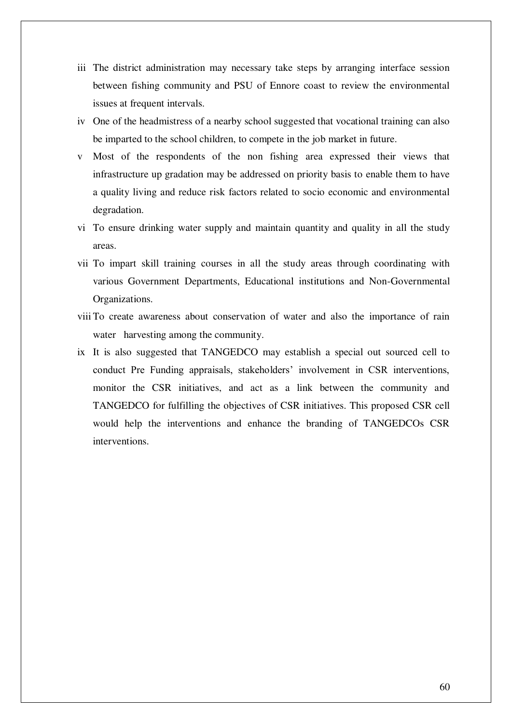- iii The district administration may necessary take steps by arranging interface session between fishing community and PSU of Ennore coast to review the environmental issues at frequent intervals.
- iv One of the headmistress of a nearby school suggested that vocational training can also be imparted to the school children, to compete in the job market in future.
- v Most of the respondents of the non fishing area expressed their views that infrastructure up gradation may be addressed on priority basis to enable them to have a quality living and reduce risk factors related to socio economic and environmental degradation.
- vi To ensure drinking water supply and maintain quantity and quality in all the study areas.
- vii To impart skill training courses in all the study areas through coordinating with various Government Departments, Educational institutions and Non-Governmental Organizations.
- viii To create awareness about conservation of water and also the importance of rain water harvesting among the community.
- ix It is also suggested that TANGEDCO may establish a special out sourced cell to conduct Pre Funding appraisals, stakeholders' involvement in CSR interventions, monitor the CSR initiatives, and act as a link between the community and TANGEDCO for fulfilling the objectives of CSR initiatives. This proposed CSR cell would help the interventions and enhance the branding of TANGEDCOs CSR interventions.